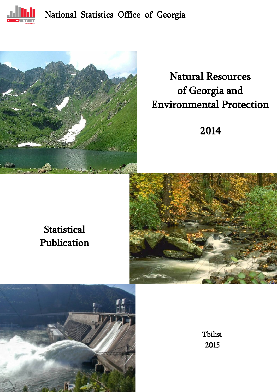

### National Statistics Office of Georgia



# Natural Resources of Georgia and Environmental Protection

2014

## **Statistical** Publication





Tbilisi 2015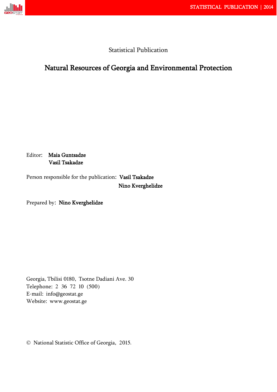

### Statistical Publication

### Natural Resources of Georgia and Environmental Protection

Editor: Maia Guntsadze Vasil Tsakadze

Person responsible for the publication: Vasil Tsakadze Nino Kverghelidze

Prepared by: Nino Kverghelidze

Georgia, Tbilisi 0180, Tsotne Dadiani Ave. 30 Telephone: 2 36 72 10 (500) E-mail: info@geostat.ge Website: www.geostat.ge

National Statistic Office of Georgia, 2015.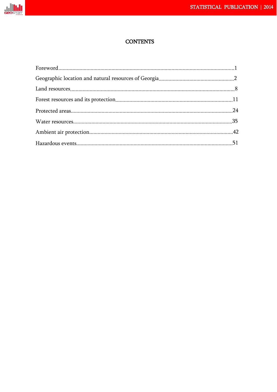

### **CONTENTS**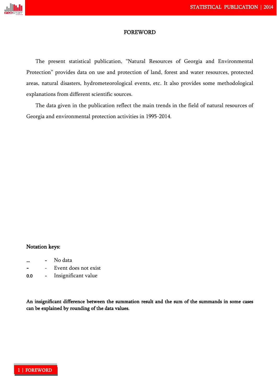

#### FOREWORD

The present statistical publication, "Natural Resources of Georgia and Environmental Protection" provides data on use and protection of land, forest and water resources, protected areas, natural disasters, hydrometeorological events, etc. It also provides some methodological explanations from different scientific sources.

The data given in the publication reflect the main trends in the field of natural resources of Georgia and environmental protection activities in 1995-2014.

### Notation keys:

- No data
- Event does not exist
- 0.0 Insignificant value

An insignificant difference between the summation result and the sum of the summands in some cases can be explained by rounding of the data values.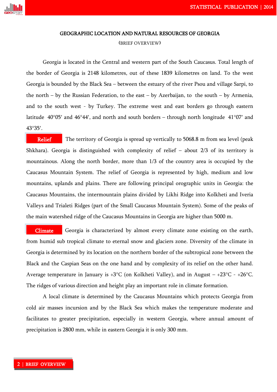

#### GEOGRAPHIC LOCATION AND NATURAL RESOURCES OF GEORGIA

#### (BRIEF OVERVIEW)

Georgia is located in the Central and western part of the South Caucasus. Total length of the border of Georgia is 2148 kilometres, out of these 1839 kilometres on land. To the west Georgia is bounded by the Black Sea – between the estuary of the river Psou and village Sarpi, to the north – by the Russian Federation, to the east – by Azerbaijan, to the south – by Armenia, and to the south west - by Turkey. The extreme west and east borders go through eastern latitude 40°05′ and 46°44′, and north and south borders – through north longitude 41°07′ and 43°35′.

 The territory of Georgia is spread up vertically to 5068.8 m from sea level (peak Shkhara). Georgia is distinguished with complexity of relief – about 2/3 of its territory is mountainous. Along the north border, more than 1/3 of the country area is occupied by the Caucasus Mountain System. The relief of Georgia is represented by high, medium and low mountains, uplands and plains. There are following principal orographic units in Georgia: the Caucasus Mountains, the intermountain plains divided by Likhi Ridge into Kolkheti and Iveria Valleys and Trialeti Ridges (part of the Small Caucasus Mountain System). Some of the peaks of the main watershed ridge of the Caucasus Mountains in Georgia are higher than 5000 m. Relief

 Georgia is characterized by almost every climate zone existing on the earth, from humid sub tropical climate to eternal snow and glaciers zone. Diversity of the climate in Georgia is determined by its location on the northern border of the subtropical zone between the Black and the Caspian Seas on the one hand and by complexity of its relief on the other hand. Average temperature in January is  $+3^{\circ}C$  (on Kolkheti Valley), and in August –  $+23^{\circ}C - +26^{\circ}C$ . The ridges of various direction and height play an important role in climate formation. Climate

A local climate is determined by the Caucasus Mountains which protects Georgia from cold air masses incursion and by the Black Sea which makes the temperature moderate and facilitates to greater precipitation, especially in western Georgia, where annual amount of precipitation is 2800 mm, while in eastern Georgia it is only 300 mm.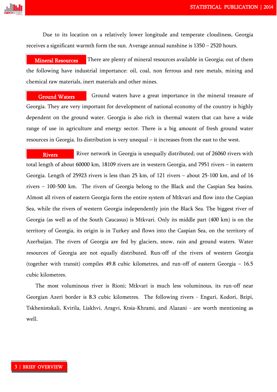

Due to its location on a relatively lower longitude and temperate cloudiness, Georgia receives a significant warmth form the sun. Average annual sunshine is 1350 – 2520 hours.

 There are plenty of mineral resources available in Georgia; out of them the following have industrial importance: oil, coal, non ferrous and rare metals, mining and chemical raw materials, inert materials and other mines. Mineral Resources

 Ground waters have a great importance in the mineral treasure of Georgia. They are very important for development of national economy of the country is highly dependent on the ground water. Georgia is also rich in thermal waters that can have a wide range of use in agriculture and energy sector. There is a big amount of fresh ground water resources in Georgia. Its distribution is very unequal – it increases from the east to the west. Ground Waters Ļ,

 River network in Georgia is unequally distributed; out of 26060 rivers with total length of about 60000 km, 18109 rivers are in western Georgia, and 7951 rivers – in eastern Georgia. Length of 25923 rivers is less than 25 km, of 121 rivers – about 25-100 km, and of 16 rivers – 100-500 km. The rivers of Georgia belong to the Black and the Caspian Sea basins. Almost all rivers of eastern Georgia form the entire system of Mtkvari and flow into the Caspian Sea, while the rivers of western Georgia independently join the Black Sea. The biggest river of Georgia (as well as of the South Caucasus) is Mtkvari. Only its middle part (400 km) is on the territory of Georgia, its origin is in Turkey and flows into the Caspian Sea, on the territory of Azerbaijan. The rivers of Georgia are fed by glaciers, snow, rain and ground waters. Water resources of Georgia are not equally distributed. Run-off of the rivers of western Georgia (together with transit) compiles 49.8 cubic kilometres, and run-off of eastern Georgia – 16.5 cubic kilometres. Rivers  $\cup$ 

The most voluminous river is Rioni; Mtkvari is much less voluminous, its run-off near Georgian Azeri border is 8.3 cubic kilometres. The following rivers - Enguri, Kodori, Bzipi, Tskhenistskali, Kvirila, Liakhvi, Aragvi, Ktsia-Khrami, and Alazani - are worth mentioning as well.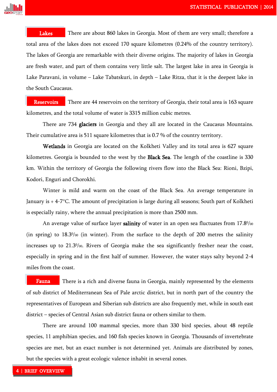

 There are about 860 lakes in Georgia. Most of them are very small; therefore a total area of the lakes does not exceed 170 square kilometres (0.24% of the country territory). The lakes of Georgia are remarkable with their diverse origins. The majority of lakes in Georgia are fresh water, and part of them contains very little salt. The largest lake in area in Georgia is Lake Paravani, in volume – Lake Tabatskuri, in depth – Lake Ritza, that it is the deepest lake in the South Caucasus. Lakes  $\mathbf{C}$ 

 There are 44 reservoirs on the territory of Georgia, their total area is 163 square kilometres, and the total volume of water is 3315 million cubic metres. **Reservoirs** 

There are 734 **glaciers** in Georgia and they all are located in the Caucasus Mountains. Their cumulative area is 511 square kilometres that is 0.7 % of the country territory. e:

Wetlands in Georgia are located on the Kolkheti Valley and its total area is 627 square kilometres. Georgia is bounded to the west by the Black Sea. The length of the coastline is 330 km. Within the territory of Georgia the following rivers flow into the Black Sea: Rioni, Bzipi, Kodori, Enguri and Chorokhi.

Winter is mild and warm on the coast of the Black Sea. An average temperature in January is + 4-7°C. The amount of precipitation is large during all seasons; South part of Kolkheti is especially rainy, where the annual precipitation is more than 2500 mm.

An average value of surface layer salinity of water in an open sea fluctuates from  $17.8\%$ (in spring) to  $18.3\%$  (in winter). From the surface to the depth of 200 metres the salinity increases up to 21.30 /00. Rivers of Georgia make the sea significantly fresher near the coast, especially in spring and in the first half of summer. However, the water stays salty beyond 2-4 miles from the coast.

 There is a rich and diverse fauna in Georgia, mainly represented by the elements of sub district of Mediterranean Sea of Pale arctic district, but in north part of the country the representatives of European and Siberian sub districts are also frequently met, while in south east district – species of Central Asian sub district fauna or others similar to them. Fauna

There are around 100 mammal species, more than 330 bird species, about 48 reptile species, 11 amphibian species, and 160 fish species known in Georgia. Thousands of invertebrate species are met, but an exact number is not determined yet. Animals are distributed by zones, but the species with a great ecologic valence inhabit in several zones.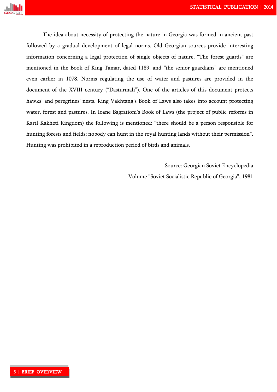

The idea about necessity of protecting the nature in Georgia was formed in ancient past followed by a gradual development of legal norms. Old Georgian sources provide interesting information concerning a legal protection of single objects of nature. "The forest guards" are mentioned in the Book of King Tamar, dated 1189, and "the senior guardians" are mentioned even earlier in 1078. Norms regulating the use of water and pastures are provided in the document of the XVIII century ("Dasturmali"). One of the articles of this document protects hawks' and peregrines' nests. King Vakhtang's Book of Laws also takes into account protecting water, forest and pastures. In Ioane Bagrationi's Book of Laws (the project of public reforms in Kartl-Kakheti Kingdom) the following is mentioned: "there should be a person responsible for hunting forests and fields; nobody can hunt in the royal hunting lands without their permission". Hunting was prohibited in a reproduction period of birds and animals.

Source: Georgian Soviet Encyclopedia

Volume "Soviet Socialistic Republic of Georgia", 1981

L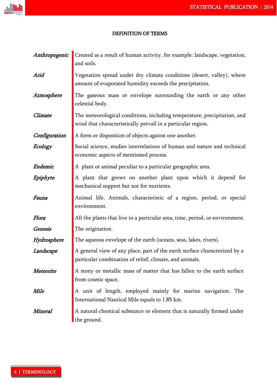

### DEFINITION OF TERMS

|                | <b>Anthropogenic</b> Created as a result of human activity, for example: landscape, vegetation,<br>and soils.                            |
|----------------|------------------------------------------------------------------------------------------------------------------------------------------|
| Arid           | Vegetation spread under dry climate conditions (desert, valley), where<br>amount of evaporated humidity exceeds the precipitation.       |
| Atmosphere     | The gaseous mass or envelope surrounding the earth or any other<br>celestial body.                                                       |
| Climate        | The meteorological conditions, including temperature, precipitation, and<br>wind that characteristically prevail in a particular region. |
| Configuration  | A form or disposition of objects against one another.                                                                                    |
| Ecology        | Social science, studies interrelations of human and nature and technical<br>economic aspects of mentioned process.                       |
| Endemic        | A plant or animal peculiar to a particular geographic area.                                                                              |
| Epiphyte       | A plant that grows on another plant upon which it depend for<br>mechanical support but not for nutrients.                                |
| Fauna          | Animal life. Animals, characteristic of a region, period, or special<br>environment.                                                     |
| Flora          | All the plants that live in a particular area, time, period, or environment.                                                             |
| <b>Genesis</b> | The origination.                                                                                                                         |
| Hydrosphere    | The aqueous envelope of the earth (oceans, seas, lakes, rivers).                                                                         |
| Landscape      | A general view of any place, part of the earth surface characterized by a<br>particular combination of relief, climate, and animals.     |
| Meteorite      | A stony or metallic mass of matter that has fallen to the earth surface<br>from cosmic space.                                            |
| Mile           | A unit of length, employed mainly for marine navigation. The<br>International Nautical Mile equals to 1.85 km.                           |
| Mineral        | A natural chemical substance or element that is naturally formed under<br>the ground.                                                    |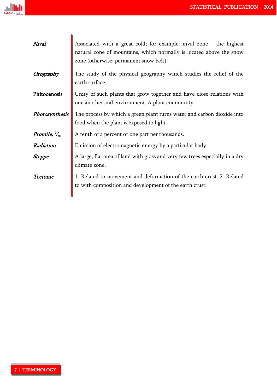| Nival                                    | Associated with a great cold; for example: nival zone $-$ the highest<br>natural zone of mountains, which normally is located above the snow<br>zone (otherwise: permanent snow belt). |
|------------------------------------------|----------------------------------------------------------------------------------------------------------------------------------------------------------------------------------------|
| Orography                                | The study of the physical geography which studies the relief of the<br>earth surface.                                                                                                  |
| Phitocenosis                             | Unity of such plants that grow together and have close relations with<br>one another and environment. A plant community.                                                               |
| Photosynthesis                           | The process by which a green plant turns water and carbon dioxide into<br>food when the plant is exposed to light.                                                                     |
| Promile, $\frac{\partial u}{\partial n}$ | A tenth of a percent or one part per thousands.                                                                                                                                        |
| Radiation                                | Emission of electromagnetic energy by a particular body.                                                                                                                               |
| Steppe                                   | A large, flat area of land with grass and very few trees especially in a dry<br>climate zone.                                                                                          |
| Tectonic                                 | 1. Related to movement and deformation of the earth crust. 2. Related<br>to with composition and development of the earth crust.                                                       |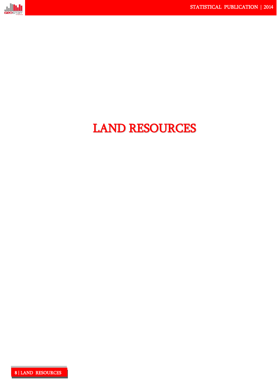

# LAND RESOURCES

8 | LAND RESOURCES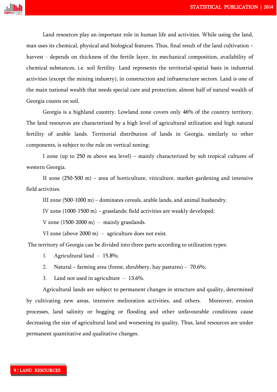

Land resources play an important role in human life and activities. While using the land, man uses its chemical, physical and biological features. Thus, final result of the land cultivation – harvest - depends on thickness of the fertile layer, its mechanical composition, availability of chemical substances, i.e. soil fertility. Land represents the territorial-spatial basis in industrial activities (except the mining industry), in construction and infrastructure sectors. Land is one of the main national wealth that needs special care and protection; almost half of natural wealth of Georgia counts on soil.

Georgia is a highland country. Lowland zone covers only 46% of the country territory. The land resources are characterized by a high level of agricultural utilization and high natural fertility of arable lands. Territorial distribution of lands in Georgia, similarly to other components, is subject to the rule on vertical zoning:

I zone (up to 250 m above sea level) – mainly characterized by sub tropical cultures of western Georgia.

II zone (250-500 m) – area of horticulture, viticulture, market-gardening and intensive field activities.

III zone (500-1000 m) – dominates cereals, arable lands, and animal husbandry.

IV zone (1000-1500 m) - grasslands; field activities are weakly developed;

V zone  $(1500-2000 \text{ m})$  – mainly grasslands.

VI zone (above 2000 m) – agriculture does not exist.

The territory of Georgia can be divided into three parts according to utilization types:

- 1. Agricultural land 15.8%;
- 2. Natural farming area (forest, shrubbery, hay pastures) 70.6%;
- 3. Land not used in agriculture 13.6%.

Agricultural lands are subject to permanent changes in structure and quality, determined by cultivating new areas, intensive melioration activities, and others. Moreover, erosion processes, land salinity or bogging or flooding and other unfavourable conditions cause decreasing the size of agricultural land and worsening its quality. Thus, land resources are under permanent quantitative and qualitative changes.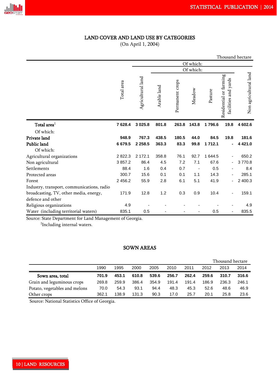### LAND COVER AND LAND USE BY CATEGORIES

(On April 1, 2004)

|                                            |            |                   |             |                 |           |             |                                                | Thousand hectare      |
|--------------------------------------------|------------|-------------------|-------------|-----------------|-----------|-------------|------------------------------------------------|-----------------------|
|                                            |            |                   |             |                 | Of which: |             |                                                |                       |
|                                            |            |                   |             |                 | Of which: |             |                                                |                       |
|                                            | Total area | Agricultural land | Arable land | Permanent crops | Meadow    | Pasture     | Residential or farming<br>facilities and yards | Non agricultural land |
| Total area <sup>1</sup>                    | 7628.4     | 3 0 25.8          | 801.8       | 263.8           | 143.8     | 1796.6      | 19.8                                           | 4 602.6               |
| Of which:                                  |            |                   |             |                 |           |             |                                                |                       |
| Private land                               | 948.9      | 767.3             | 438.5       | 180.5           | 44.0      | 84.5        | 19.8                                           | 181.6                 |
| Public land                                | 6679.5     | 2 2 5 8 . 5       | 363.3       | 83.3            | 99.8      | 1 7 1 2 . 1 |                                                | 4 4 2 1 .0            |
| Of which:                                  |            |                   |             |                 |           |             |                                                |                       |
| Agricultural organizations                 | 2 8 2 2.3  | 2 172.1           | 358.8       | 76.1            | 92.7      | 1 644.5     |                                                | 650.2                 |
| Non agricultural                           | 3857.2     | 86.4              | 4.5         | 7.2             | 7.1       | 67.6        |                                                | 3770.8                |
| Settlements                                | 88.4       | 1.6               | 0.4         | 0.7             |           | 0.5         |                                                | 8.4                   |
| Protected areas                            | 300.7      | 15.6              | 0.1         | 0.1             | 1.1       | 14.3        |                                                | 285.1                 |
| Forest                                     | 2 4 5 6.2  | 55.9              | 2.8         | 6.1             | 5.1       | 41.9        |                                                | 2 400.3               |
| Industry, transport, communications, radio |            |                   |             |                 |           |             |                                                |                       |
| broadcasting, TV, other media, energy,     | 171.9      | 12.8              | 1.2         | 0.3             | 0.9       | 10.4        |                                                | 159.1                 |
| defence and other                          |            |                   |             |                 |           |             |                                                |                       |
| Religious organizations                    | 4.9        |                   |             |                 |           |             |                                                | 4.9                   |
| Water (including territorial waters)       | 835.1      | 0.5               |             |                 |           | 0.5         |                                                | 835.5                 |

Source: State Department for Land Management of Georgia.

<sup>1</sup>Including internal waters.

### SOWN AREAS

|                               |       |       |       |       |       |       |       | Thousand hectare |       |
|-------------------------------|-------|-------|-------|-------|-------|-------|-------|------------------|-------|
|                               | 1990  | 1995  | 2000  | 2005  | 2010  | 2011  | 2012  | 2013             | 2014  |
| Sown area, total              | 701.9 | 453.1 | 610.8 | 539.6 | 256.7 | 262.4 | 259.6 | 310.7            | 316.6 |
| Grain and leguminous crops    | 269.8 | 259.9 | 386.4 | 354.9 | 191.4 | 191.4 | 186.9 | 236.3            | 246.1 |
| Potato, vegetables and melons | 70.0  | 54.3  | 93.1  | 94.4  | 48.3  | 45.3  | 52.6  | 48.6             | 46.9  |
| Other crops                   | 362.1 | 138.9 | 131.3 | 90.3  | 17.0  | 25.7  | 20.1  | 25.8             | 23.6  |

Source: National Statistics Office of Georgia.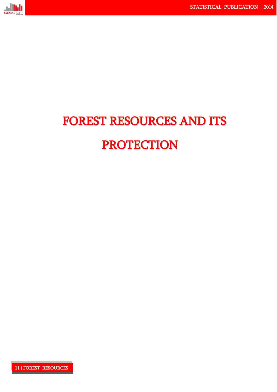

# FOREST RESOURCES AND ITS PROTECTION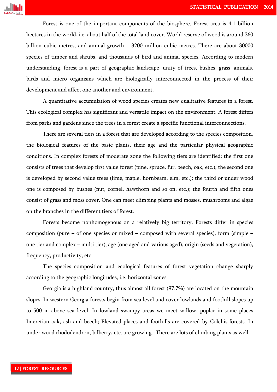

Forest is one of the important components of the biosphere. Forest area is 4.1 billion hectares in the world, i.e. about half of the total land cover. World reserve of wood is around 360 billion cubic metres, and annual growth – 3200 million cubic metres. There are about 30000 species of timber and shrubs, and thousands of bird and animal species. According to modern understanding, forest is a part of geographic landscape, unity of trees, bushes, grass, animals, birds and micro organisms which are biologically interconnected in the process of their development and affect one another and environment.

A quantitative accumulation of wood species creates new qualitative features in a forest. This ecological complex has significant and versatile impact on the environment. A forest differs from parks and gardens since the trees in a forest create a specific functional interconnections.

There are several tiers in a forest that are developed according to the species composition, the biological features of the basic plants, their age and the particular physical geographic conditions. In complex forests of moderate zone the following tiers are identified: the first one consists of trees that develop first value forest (pine, spruce, fur, beech, oak, etc.); the second one is developed by second value trees (lime, maple, hornbeam, elm, etc.); the third or under wood one is composed by bushes (nut, cornel, hawthorn and so on, etc.); the fourth and fifth ones consist of grass and moss cover. One can meet climbing plants and mosses, mushrooms and algae on the branches in the different tiers of forest.

Forests become nonhomogenous on a relatively big territory. Forests differ in species composition (pure – of one species or mixed – composed with several species), form (simple – one tier and complex – multi tier), age (one aged and various aged), origin (seeds and vegetation), frequency, productivity, etc.

The species composition and ecological features of forest vegetation change sharply according to the geographic longitudes, i.e. horizontal zones.

Georgia is a highland country, thus almost all forest (97.7%) are located on the mountain slopes. In western Georgia forests begin from sea level and cover lowlands and foothill slopes up to 500 m above sea level. In lowland swampy areas we meet willow, poplar in some places Imeretian oak, ash and beech; Elevated places and foothills are covered by Colchis forests. In under wood rhododendron, bilberry, etc. are growing. There are lots of climbing plants as well.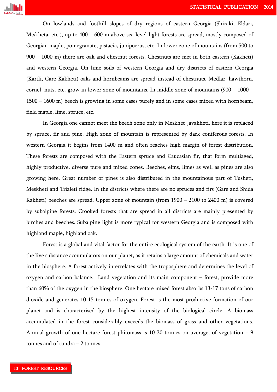

On lowlands and foothill slopes of dry regions of eastern Georgia (Shiraki, Eldari, Mtskheta, etc.), up to 400 – 600 m above sea level light forests are spread, mostly composed of Georgian maple, pomegranate, pistacia, junipoerus, etc. In lower zone of mountains (from 500 to 900 – 1000 m) there are oak and chestnut forests. Chestnuts are met in both eastern (Kakheti) and western Georgia. On lime soils of western Georgia and dry districts of eastern Georgia (Kartli, Gare Kakheti) oaks and hornbeams are spread instead of chestnuts. Medlar, hawthorn, cornel, nuts, etc. grow in lower zone of mountains. In middle zone of mountains  $(900 - 1000 -$ 1500 – 1600 m) beech is growing in some cases purely and in some cases mixed with hornbeam, field maple, lime, spruce, etc.

In Georgia one cannot meet the beech zone only in Meskhet-Javakheti, here it is replaced by spruce, fir and pine. High zone of mountain is represented by dark coniferous forests. In western Georgia it begins from 1400 m and often reaches high margin of forest distribution. These forests are composed with the Eastern spruce and Caucasian fir, that form multiaged, highly productive, diverse pure and mixed zones. Beeches, elms, limes as well as pines are also growing here. Great number of pines is also distributed in the mountainous part of Tusheti, Meskheti and Trialeti ridge. In the districts where there are no spruces and firs (Gare and Shida Kakheti) beeches are spread. Upper zone of mountain (from 1900 – 2100 to 2400 m) is covered by subalpine forests. Crooked forests that are spread in all districts are mainly presented by birches and beeches. Subalpine light is more typical for western Georgia and is composed with highland maple, highland oak.

Forest is a global and vital factor for the entire ecological system of the earth. It is one of the live substance accumulators on our planet, as it retains a large amount of chemicals and water in the biosphere. A forest actively interrelates with the troposphere and determines the level of oxygen and carbon balance. Land vegetation and its main component – forest, provide more than 60% of the oxygen in the biosphere. One hectare mixed forest absorbs 13-17 tons of carbon dioxide and generates 10-15 tonnes of oxygen. Forest is the most productive formation of our planet and is characterised by the highest intensity of the biological circle. A biomass accumulated in the forest considerably exceeds the biomass of grass and other vegetations. Annual growth of one hectare forest phitomass is 10-30 tonnes on average, of vegetation – 9 tonnes and of tundra – 2 tonnes.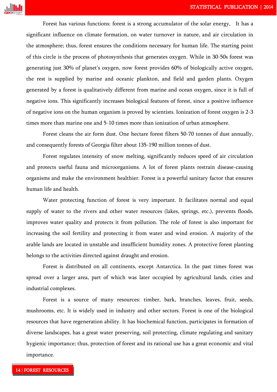

Forest has various functions: forest is a strong accumulator of the solar energy. It has a significant influence on climate formation, on water turnover in nature, and air circulation in the atmosphere; thus, forest ensures the conditions necessary for human life. The starting point of this circle is the process of photosynthesis that generates oxygen. While in 30-50s forest was generating just 30% of planet's oxygen, now forest provides 60% of biologically active oxygen, the rest is supplied by marine and oceanic plankton, and field and garden plants. Oxygen generated by a forest is qualitatively different from marine and ocean oxygen, since it is full of negative ions. This significantly increases biological features of forest, since a positive influence of negative ions on the human organism is proved by scientists. Ionization of forest oxygen is 2-3 times more than marine one and 5-10 times more than ionization of urban atmosphere.

Forest cleans the air form dust. One hectare forest filters 50-70 tonnes of dust annually, and consequently forests of Georgia filter about 135-190 million tonnes of dust.

Forest regulates intensity of snow melting, significantly reduces speed of air circulation and protects useful fauna and microorganisms. A lot of forest plants restrain disease-causing organisms and make the environment healthier. Forest is a powerful sanitary factor that ensures human life and health.

Water protecting function of forest is very important. It facilitates normal and equal supply of water to the rivers and other water resources (lakes, springs, etc.), prevents floods, improves water quality and protects it from pollution. The role of forest is also important for increasing the soil fertility and protecting it from water and wind erosion. A majority of the arable lands are located in unstable and insufficient humidity zones. A protective forest planting belongs to the activities directed against draught and erosion.

Forest is distributed on all continents, except Antarctica. In the past times forest was spread over a larger area, part of which was later occupied by agricultural lands, cities and industrial complexes.

Forest is a source of many resources: timber, bark, branches, leaves, fruit, seeds, mushrooms, etc. It is widely used in industry and other sectors. Forest is one of the biological resources that have regeneration ability. It has biochemical function, participates in formation of diverse landscapes, has a great water preserving, soil protecting, climate regulating and sanitary hygienic importance; thus, protection of forest and its rational use has a great economic and vital importance.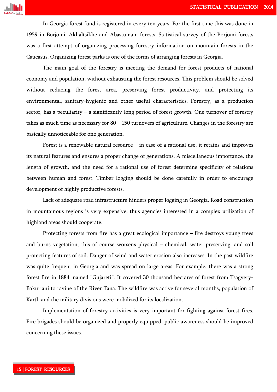

In Georgia forest fund is registered in every ten years. For the first time this was done in 1959 in Borjomi, Akhaltsikhe and Abastumani forests. Statistical survey of the Borjomi forests was a first attempt of organizing processing forestry information on mountain forests in the Caucasus. Organizing forest parks is one of the forms of arranging forests in Georgia.

The main goal of the forestry is meeting the demand for forest products of national economy and population, without exhausting the forest resources. This problem should be solved without reducing the forest area, preserving forest productivity, and protecting its environmental, sanitary-hygienic and other useful characteristics. Forestry, as a production sector, has a peculiarity – a significantly long period of forest growth. One turnover of forestry takes as much time as necessary for 80 – 150 turnovers of agriculture. Changes in the forestry are basically unnoticeable for one generation.

Forest is a renewable natural resource  $-$  in case of a rational use, it retains and improves its natural features and ensures a proper change of generations. A miscellaneous importance, the length of growth, and the need for a rational use of forest determine specificity of relations between human and forest. Timber logging should be done carefully in order to encourage development of highly productive forests.

Lack of adequate road infrastructure hinders proper logging in Georgia. Road construction in mountainous regions is very expensive, thus agencies interested in a complex utilization of highland areas should cooperate.

Protecting forests from fire has a great ecological importance – fire destroys young trees and burns vegetation; this of course worsens physical – chemical, water preserving, and soil protecting features of soil. Danger of wind and water erosion also increases. In the past wildfire was quite frequent in Georgia and was spread on large areas. For example, there was a strong forest fire in 1884, named "Gujareti". It covered 30 thousand hectares of forest from Tsagvery-Bakuriani to ravine of the River Tana. The wildfire was active for several months, population of Kartli and the military divisions were mobilized for its localization.

Implementation of forestry activities is very important for fighting against forest fires. Fire brigades should be organized and properly equipped, public awareness should be improved concerning these issues.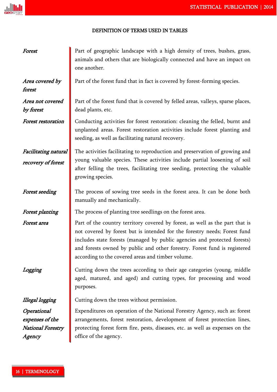### DEFINITION OF TERMS USED IN TABLES

| Forest                                                               | Part of geographic landscape with a high density of trees, bushes, grass,<br>animals and others that are biologically connected and have an impact on<br>one another.                                                                                                                                                                                                    |
|----------------------------------------------------------------------|--------------------------------------------------------------------------------------------------------------------------------------------------------------------------------------------------------------------------------------------------------------------------------------------------------------------------------------------------------------------------|
| Area covered by<br>forest                                            | Part of the forest fund that in fact is covered by forest-forming species.                                                                                                                                                                                                                                                                                               |
| Area not covered<br>by forest                                        | Part of the forest fund that is covered by felled areas, valleys, sparse places,<br>dead plants, etc.                                                                                                                                                                                                                                                                    |
| <b>Forest restoration</b>                                            | Conducting activities for forest restoration: cleaning the felled, burnt and<br>unplanted areas. Forest restoration activities include forest planting and<br>seeding, as well as facilitating natural recovery.                                                                                                                                                         |
| Facilitating natural<br>recovery of forest                           | The activities facilitating to reproduction and preservation of growing and<br>young valuable species. These activities include partial loosening of soil<br>after felling the trees, facilitating tree seeding, protecting the valuable<br>growing species.                                                                                                             |
| <b>Forest seeding</b>                                                | The process of sowing tree seeds in the forest area. It can be done both<br>manually and mechanically.                                                                                                                                                                                                                                                                   |
| <b>Forest planting</b>                                               | The process of planting tree seedlings on the forest area.                                                                                                                                                                                                                                                                                                               |
| Forest area                                                          | Part of the country territory covered by forest, as well as the part that is<br>not covered by forest but is intended for the forestry needs; Forest fund<br>includes state forests (managed by public agencies and protected forests)<br>and forests owned by public and other forestry. Forest fund is registered<br>according to the covered areas and timber volume. |
| Logging                                                              | Cutting down the trees according to their age categories (young, middle<br>aged, matured, and aged) and cutting types, for processing and wood<br>purposes.                                                                                                                                                                                                              |
| Illegal logging                                                      | Cutting down the trees without permission.                                                                                                                                                                                                                                                                                                                               |
| Operational<br>expenses of the<br><b>National Forestry</b><br>Agency | Expenditures on operation of the National Forestry Agency, such as: forest<br>arrangements, forest restoration, development of forest protection lines,<br>protecting forest form fire, pests, diseases, etc. as well as expenses on the<br>office of the agency.                                                                                                        |

**ullull**<br>Geostaf Tat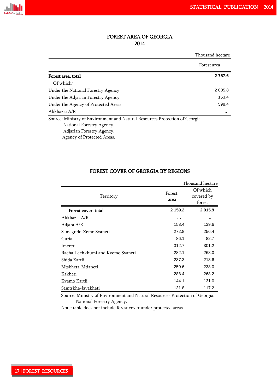

### FOREST AREA OF GEORGIA 2014

|                                                                              | Thousand hectare |
|------------------------------------------------------------------------------|------------------|
|                                                                              | Forest area      |
| Forest area, total                                                           | 2 7 5 7.6        |
| Of which:                                                                    |                  |
| Under the National Forestry Agency                                           | 2 0 0 5.8        |
| Under the Adjarian Forestry Agency                                           | 153.4            |
| Under the Agency of Protected Areas                                          | 598.4            |
| Abkhazia A/R                                                                 | $\cdots$         |
| Source: Ministry of Environment and Natural Resources Protection of Georgia. |                  |
| National Forestry Agency.                                                    |                  |
| Adjarian Forestry Agency.                                                    |                  |

Agency of Protected Areas.

|                                   |                | Thousand hectare                 |
|-----------------------------------|----------------|----------------------------------|
| Territory                         | Forest<br>area | Of which<br>covered by<br>forest |
| Forest cover, total               | 2 159.2        | 2 015.9                          |
| Abkhazia A/R                      | .              | .                                |
| Adjara A/R                        | 153.4          | 139.6                            |
| Samegrelo-Zemo Svaneti            | 272.8          | 256.4                            |
| Guria                             | 86.1           | 82.7                             |
| Imereti                           | 312.7          | 301.2                            |
| Racha-Lechkhumi and Kvemo Svaneti | 282.1          | 268.0                            |
| Shida Kartli                      | 237.3          | 213.6                            |
| Mtskheta-Mtianeti                 | 250.6          | 238.0                            |
| Kakheti                           | 288.4          | 268.2                            |
| Kvemo Kartli                      | 144.1          | 131.0                            |
| Samtskhe-Javakheti                | 131.8          | 117.2                            |

### FOREST COVER OF GEORGIA BY REGIONS

 Source: Ministry of Environment and Natural Resources Protection of Georgia. National Forestry Agency.

Note: table does not include forest cover under protected areas.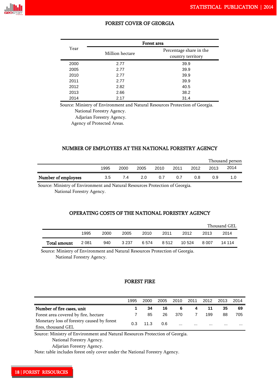

### FOREST COVER OF GEORGIA

|      |                 | Forest area                                  |
|------|-----------------|----------------------------------------------|
| Year | Million hectare | Percentage share in the<br>country territory |
| 2000 | 2.77            | 39.9                                         |
| 2005 | 2.77            | 39.9                                         |
| 2010 | 2.77            | 39.9                                         |
| 2011 | 2.77            | 39.9                                         |
| 2012 | 2.82            | 40.5                                         |
| 2013 | 2.66            | 38.2                                         |
| 2014 | 2.17            | 31.4                                         |

Source: Ministry of Environment and Natural Resources Protection of Georgia.

National Forestry Agency.

Adjarian Forestry Agency.

Agency of Protected Areas.

#### NUMBER OF EMPLOYEES AT THE NATIONAL FORESTRY AGENCY

|                     |      |      |      |      |      |      | Thousand person |      |  |  |
|---------------------|------|------|------|------|------|------|-----------------|------|--|--|
|                     | 1995 | 2000 | 2005 | 2010 | 2011 | 2012 | 2013            | 2014 |  |  |
| Number of employees | 3.5  | 7.4  | 2.0  | 0.7  | 0.7  | 0.8  | 0.9             |      |  |  |

Source: Ministry of Environment and Natural Resources Protection of Georgia.

National Forestry Agency.

### OPERATING COSTS OF THE NATIONAL FORESTRY AGENCY

|              |      |      |         |       |         |        |       | Thousand GEL |
|--------------|------|------|---------|-------|---------|--------|-------|--------------|
|              | 1995 | 2000 | 2005    | 2010  | 2011    | 2012   | 2013  | 2014         |
| Total amount | 2081 | 940  | 3 2 3 7 | 6.574 | 8 5 1 2 | 10.524 | 8.007 | 14 114       |

Source: Ministry of Environment and Natural Resources Protection of Georgia.

National Forestry Agency.

### FOREST FIRE

|                                            | 1995 | 2000 | 2005 | 2010     | 2011     | 2012     | 2013     | 2014     |
|--------------------------------------------|------|------|------|----------|----------|----------|----------|----------|
| Number of fire cases, unit                 |      | 34   | 16   |          |          |          | 35       | 69       |
| Forest area covered by fire, hectare       |      | 85   | 26   | 370      |          | 199      | 88       | 705      |
| Monetary loss of forestry caused by forest | 0.3  | 11.3 | 0.6  |          |          |          |          |          |
| fires, thousand GEL                        |      |      |      | $\cdots$ | $\cdots$ | $\cdots$ | $\cdots$ | $\cdots$ |

Source: Ministry of Environment and Natural Resources Protection of Georgia.

National Forestry Agency.

Adjarian Forestry Agency.

Note: table includes forest only cover under the National Forestry Agency.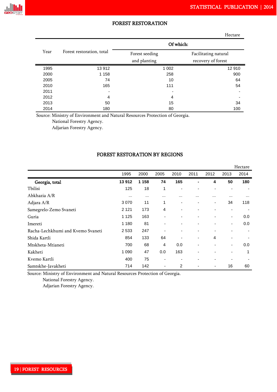

|      |                           |                                | Hectare                                    |
|------|---------------------------|--------------------------------|--------------------------------------------|
|      |                           | Of which:                      |                                            |
| Year | Forest restoration, total | Forest seeding<br>and planting | Facilitating natural<br>recovery of forest |
| 1995 | 13 912                    | 1 0 0 2                        | 12910                                      |
| 2000 | 1 1 5 8                   | 258                            | 900                                        |
| 2005 | 74                        | 10                             | 64                                         |
| 2010 | 165                       | 111                            | 54                                         |
| 2011 |                           |                                |                                            |
| 2012 | 4                         | 4                              |                                            |
| 2013 | 50                        | 15                             | 34                                         |
| 2014 | 180                       | 80                             | 100                                        |

Source: Ministry of Environment and Natural Resources Protection of Georgia.

National Forestry Agency.

Adjarian Forestry Agency.

#### FOREST RESTORATION BY REGIONS

|                                   |          |          |                |      |      |                |                | Hectare |
|-----------------------------------|----------|----------|----------------|------|------|----------------|----------------|---------|
|                                   | 1995     | 2000     | 2005           | 2010 | 2011 | 2012           | 2013           | 2014    |
| Georgia, total                    | 13912    | 1 1 5 8  | 74             | 165  |      | 4              | 50             | 180     |
| Tbilisi                           | 125      | 18       | 1              |      |      | $\blacksquare$ | $\blacksquare$ |         |
| Abkhazia A/R                      | $\cdots$ | $\cdots$ | $\cdots$       |      |      | .              | $\cdots$       |         |
| Adjara A/R                        | 3 0 7 0  | 11       | 1              | ٠    |      | ٠              | 34             | 118     |
| Samegrelo-Zemo Svaneti            | 2 1 2 1  | 173      | $\overline{4}$ | -    |      | -              | ۰              |         |
| Guria                             | 1 1 2 5  | 163      |                |      |      | -              | ۰              | 0.0     |
| Imereti                           | 1 1 8 0  | 81       |                |      |      | -              | -              | 0.0     |
| Racha-Lechkhumi and Kvemo Svaneti | 2533     | 247      |                |      |      |                |                |         |
| Shida Kartli                      | 854      | 133      | 64             |      |      | 4              |                |         |
| Mtskheta-Mtianeti                 | 700      | 68       | 4              | 0.0  |      | $\blacksquare$ | ۰              | 0.0     |
| Kakheti                           | 1 0 9 0  | 47       | 0.0            | 163  |      | $\overline{a}$ | -              | 1       |
| Kvemo Kartli                      | 400      | 75       |                |      |      | $\blacksquare$ |                |         |
| Samtskhe-Javakheti                | 714      | 142      |                | 2    |      | ٠              | 16             | 60      |

Source: Ministry of Environment and Natural Resources Protection of Georgia.

National Forestry Agency.

Adjarian Forestry Agency.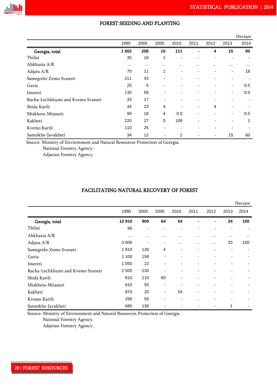

|                                   |          |          |                          |          |      |          |      | Hectare |
|-----------------------------------|----------|----------|--------------------------|----------|------|----------|------|---------|
|                                   | 1995     | 2000     | 2005                     | 2010     | 2011 | 2012     | 2013 | 2014    |
| Georgia, total                    | 1 0 0 2  | 258      | 10                       | 111      |      | 4        | 15   | 80      |
| Tbilisi                           | 35       | 18       | 1                        |          |      |          |      |         |
| Abkhazia A/R                      | $\cdots$ | $\cdots$ | $\cdots$                 | $\cdots$ |      | $\cdots$ |      |         |
| Adjara A/R                        | 70       | 11       | 1                        |          |      |          |      | 18      |
| Samegrelo-Zemo Svaneti            | 211      | 43       | $\overline{\phantom{0}}$ |          |      |          |      |         |
| Guria                             | 25       | 5        | $\overline{\phantom{0}}$ |          |      |          | ۰    | 0.0     |
| Imereti                           | 130      | 59       | ٠                        |          |      |          | ۰    | 0.0     |
| Racha-Lechkhumi and Kvemo Svaneti | 33       | 17       | $\overline{\phantom{a}}$ |          |      |          |      |         |
| Shida Kartli                      | 44       | 23       | 4                        |          |      | 4        |      |         |
| Mtskheta-Mtianeti                 | 90       | 18       | 4                        | 0.0      |      |          | ٠    | 0.0     |
| Kakheti                           | 220      | 27       | $\mathbf 0$              | 109      |      |          |      | 1       |
| Kvemo Kartli                      | 110      | 25       | $\blacksquare$           |          |      |          |      |         |
| Samtskhe-Javakheti                | 34       | 12       | $\overline{\phantom{0}}$ | 2        |      | ۰        | 15   | 60      |

### FOREST SEEDING AND PLANTING

Source: Ministry of Environment and Natural Resources Protection of Georgia.

National Forestry Agency.

Adjarian Forestry Agency.

### FACILITATING NATURAL RECOVERY OF FOREST

|                                   |          |                          |                |      |                          |                |          | Hectare |
|-----------------------------------|----------|--------------------------|----------------|------|--------------------------|----------------|----------|---------|
|                                   | 1995     | 2000                     | 2005           | 2010 | 2011                     | 2012           | 2013     | 2014    |
| Georgia, total                    | 12910    | 900                      | 64             | 54   |                          | ۰              | 34       | 100     |
| Tbilisi                           | 90       | $\overline{\phantom{0}}$ |                |      |                          | $\overline{a}$ | -        |         |
| Abkhazia A/R                      | $\cdots$ | $\cdots$                 | $\cdots$       |      | .                        |                | $\cdots$ |         |
| Adjara A/R                        | 3 0 0 0  |                          |                |      | $\cdots$                 | .              | 33       | 100     |
| Samegrelo-Zemo Svaneti            | 1910     | 130                      | $\overline{4}$ |      |                          |                |          |         |
| Guria                             | 1 100    | 158                      |                | ٠    |                          | ٠              |          |         |
| Imereti                           | 1 0 5 0  | 22                       |                |      | $\overline{\phantom{0}}$ | ٠              |          |         |
| Racha-Lechkhumi and Kvemo Svaneti | 2 5 0 0  | 230                      |                | ٠    | $\overline{\phantom{a}}$ | ٠              | ۰        |         |
| Shida Kartli                      | 810      | 110                      | 60             | -    |                          | -              | -        |         |
| Mtskheta-Mtianeti                 | 610      | 50                       |                |      | -                        | -              | -        |         |
| Kakheti                           | 870      | 20                       | $\blacksquare$ | 54   |                          | -              |          |         |
| Kvemo Kartli                      | 290      | 50                       |                |      |                          | ٠              |          |         |
| Samtskhe-Javakheti                | 680      | 130                      |                |      |                          | ٠              | 1        |         |

Source: Ministry of Environment and Natural Resources Protection of Georgia.

National Forestry Agency.

Adjarian Forestry Agency.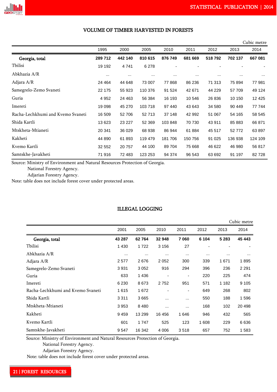|                                   |          |          |          |          |          |          |          | Cubic metre |
|-----------------------------------|----------|----------|----------|----------|----------|----------|----------|-------------|
|                                   | 1995     | 2000     | 2005     | 2010     | 2011     | 2012     | 2013     | 2014        |
| Georgia, total                    | 289712   | 442 140  | 810 615  | 876 749  | 681 669  | 518792   | 702 137  | 667 081     |
| Tbilisi                           | 19 19 2  | 4741     | 6 2 7 8  |          |          |          |          |             |
| Abkhazia A/R                      | $\cdots$ | $\cdots$ | $\cdots$ | $\cdots$ | $\cdots$ | $\cdots$ | $\cdots$ | $\cdots$    |
| Adjara A/R                        | 24 4 64  | 44 648   | 73 007   | 77868    | 86 236   | 71 313   | 75 894   | 77 981      |
| Samegrelo-Zemo Svaneti            | 22 175   | 55 923   | 110 376  | 91 524   | 42 671   | 44 229   | 57 709   | 49 124      |
| Guria                             | 4 9 5 2  | 24 4 63  | 56 384   | 16 193   | 10 546   | 26 836   | 10 150   | 12 4 25     |
| Imereti                           | 19 098   | 45 270   | 103718   | 97 440   | 43 643   | 34 580   | 90 449   | 77 744      |
| Racha-Lechkhumi and Kvemo Svaneti | 16 509   | 52 706   | 52 713   | 37 148   | 42 992   | 51 067   | 54 165   | 58 545      |
| Shida Kartli                      | 13 623   | 23 227   | 52 369   | 103848   | 70 730   | 43 911   | 85 883   | 66 871      |
| Mtskheta-Mtianeti                 | 20 341   | 36 0 29  | 68 938   | 86 944   | 61 884   | 45 517   | 52772    | 63 897      |
| Kakheti                           | 44 890   | 61 893   | 119 479  | 181706   | 150 756  | 91 0 25  | 136 938  | 124 109     |
| Kvemo Kartli                      | 32 552   | 20757    | 44 100   | 89 704   | 75 668   | 46 622   | 46 980   | 56 817      |
| Samtskhe-Javakheti                | 71 916   | 72 483   | 123 253  | 94 374   | 96 543   | 63 692   | 91 197   | 82728       |

### VOLUME OF TIMBER HARVESTED IN FORESTS

Source: Ministry of Environment and Natural Resources Protection of Georgia.

National Forestry Agency.

Adjarian Forestry Agency.

Note: table does not include forest cover under protected areas.

### ILLEGAL LOGGING

|                                   |          |          |         |                              |          |          | Cubic metre |
|-----------------------------------|----------|----------|---------|------------------------------|----------|----------|-------------|
|                                   | 2001     | 2005     | 2010    | 2011                         | 2012     | 2013     | 2014        |
| Georgia, total                    | 43 287   | 62764    | 32 948  | 7060                         | 6 1 0 4  | 5 2 8 3  | 45 443      |
| Tbilisi                           | 1 4 3 0  | 1722     | 3 1 5 6 | 27                           |          |          |             |
| Abkhazia A/R                      | $\cdots$ | $\cdots$ |         | $\cdots$                     | $\cdots$ | $\cdots$ |             |
| Adjara A/R                        | 2577     | 2676     | 2052    | 300                          | 339      | 1671     | 1895        |
| Samegrelo-Zemo Svaneti            | 3931     | 3 0 5 2  | 916     | 294                          | 396      | 236      | 2 2 9 1     |
| Guria                             | 633      | 1436     |         | $\overline{\phantom{0}}$     | 220      | 225      | 474         |
| Imereti                           | 6 2 3 0  | 8673     | 2752    | 951                          | 571      | 1 1 8 2  | 9 1 0 5     |
| Racha-Lechkhumi and Kvemo Svaneti | 1615     | 1672     |         | $\qquad \qquad \blacksquare$ | 649      | 268      | 802         |
| Shida Kartli                      | 3 3 1 1  | 3665     |         |                              | 550      | 188      | 1596        |
| Mtskheta-Mtianeti                 | 3953     | 8 4 8 0  |         |                              | 168      | 102      | 20 4 98     |
| Kakheti                           | 9459     | 13 299   | 16 45 6 | 1646                         | 946      | 432      | 565         |
| Kvemo Kartli                      | 601      | 1 747    | 525     | 123                          | 1 608    | 229      | 6636        |
| Samtskhe-Javakheti                | 9547     | 16 342   | 4 0 0 6 | 3518                         | 657      | 752      | 1583        |

Source: Ministry of Environment and Natural Resources Protection of Georgia.

National Forestry Agency.

Adjarian Forestry Agency.

Note: table does not include forest cover under protected areas.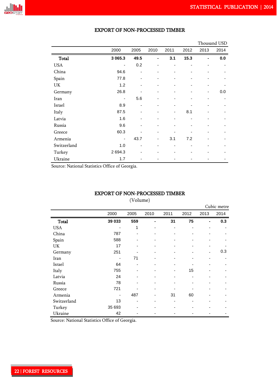

|              |                          |      |                |      |                |      | Thousand USD |
|--------------|--------------------------|------|----------------|------|----------------|------|--------------|
|              | 2000                     | 2005 | 2010           | 2011 | 2012           | 2013 | 2014         |
| <b>Total</b> | 3 065.3                  | 49.5 | $\blacksquare$ | 3.1  | 15.3           |      | 0.0          |
| <b>USA</b>   |                          | 0.2  | $\blacksquare$ | ٠    | $\blacksquare$ | -    |              |
| China        | 94.6                     | -    | ٠              |      | ٠              |      |              |
| Spain        | 77.8                     |      | ٠              |      | ٠              |      |              |
| UK           | 1.2                      |      | ٠              |      | ٠              |      |              |
| Germany      | 26.8                     |      | ٠              |      |                |      | 0.0          |
| Iran         | $\overline{\phantom{a}}$ | 5.6  |                |      |                |      |              |
| Israel       | 8.9                      |      |                |      |                |      |              |
| Italy        | 87.5                     | -    | -              | -    | 8.1            |      |              |
| Latvia       | 1.6                      |      |                |      |                |      |              |
| Russia       | 9.6                      |      |                |      |                |      |              |
| Greece       | 60.3                     |      |                |      |                |      |              |
| Armenia      |                          | 43.7 | -              | 3.1  | 7.2            |      |              |
| Switzerland  | 1.0                      |      |                |      |                |      |              |
| Turkey       | 2 694.3                  |      |                |      |                |      |              |
| Ukraine      | 1.7                      |      |                |      |                |      |              |

### EXPORT OF NON-PROCESSED TIMBER

Source: National Statistics Office of Georgia.

### EXPORT OF NON-PROCESSED TIMBER

(Volume)

|             |        |      |      |      |      |                | Cubic metre |
|-------------|--------|------|------|------|------|----------------|-------------|
|             | 2000   | 2005 | 2010 | 2011 | 2012 | 2013           | 2014        |
| Total       | 39 033 | 559  | -    | 31   | 75   | $\blacksquare$ | 0.3         |
| <b>USA</b>  |        | 1    |      |      |      |                |             |
| China       | 787    |      |      |      |      |                |             |
| Spain       | 588    |      |      |      |      |                |             |
| UK          | 17     |      |      |      |      |                |             |
| Germany     | 251    |      |      |      |      |                | 0.3         |
| Iran        |        | 71   |      |      |      |                |             |
| Israel      | 64     |      |      |      |      |                |             |
| Italy       | 755    |      |      |      | 15   |                |             |
| Latvia      | 24     |      |      |      |      |                |             |
| Russia      | 78     |      | ۰    |      |      |                |             |
| Greece      | 721    |      | -    |      |      |                |             |
| Armenia     |        | 487  | -    | 31   | 60   |                |             |
| Switzerland | 13     |      | -    |      |      |                |             |
| Turkey      | 35 693 |      |      |      |      |                |             |
| Ukraine     | 42     |      |      |      |      |                |             |

Source: National Statistics Office of Georgia.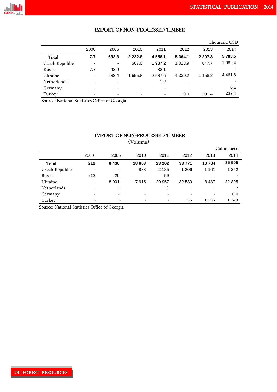#### IMPORT OF NON-PROCESSED TIMBER

|                |      |                          |            |                          |                          |                          | Thousand USD |
|----------------|------|--------------------------|------------|--------------------------|--------------------------|--------------------------|--------------|
|                | 2000 | 2005                     | 2010       | 2011                     | 2012                     | 2013                     | 2014         |
| Total          | 7.7  | 632.3                    | 2 2 2 2 .8 | 4 558.1                  | 5 3 64.1                 | 2 207.3                  | 5788.5       |
| Czech Republic |      | ۰                        | 567.0      | 1 937.2                  | 1 023.9                  | 847.7                    | 1 089.4      |
| Russia         | 7.7  | 43.9                     | ۰          | 32.1                     | $\overline{\phantom{0}}$ |                          |              |
| Ukraine        | -    | 588.4                    | 1 655.8    | 2 5 8 7.6                | 4 3 3 0.2                | 1 158.2                  | 4 4 6 1 .6   |
| Netherlands    | -    | -                        | ٠          | 1.2                      | $\overline{\phantom{0}}$ | -                        |              |
| Germany        | -    | $\overline{\phantom{0}}$ | ٠          | $\overline{\phantom{a}}$ | $\overline{\phantom{0}}$ | $\overline{\phantom{0}}$ | 0.1          |
| Turkey         |      |                          | ٠          | $\overline{\phantom{a}}$ | 10.0                     | 201.4                    | 237.4        |

Source: National Statistics Office of Georgia.

### IMPORT OF NON-PROCESSED TIMBER

 Cubic metre 2000 2005 2010 2011 2012 2013 2014 Total **212 8 430 18 803 23 202 33 771 10 784 35 505** Czech Republic - - 888 2 185 1 206 1 161 1 352 Russia 212 429 - 59 - - - Ukraine - 8 001 17 915 20 957 32 530 8 487 32 805 Netherlands and the set of the set of the set of the set of the set of the set of the set of the set of the set of the set of the set of the set of the set of the set of the set of the set of the set of the set of the set Germany 5000 - 1000 - 1000 - 1000 - 1000 - 1000 - 1000 - 1000 - 1000 - 1000 - 1000 - 1000 - 1000 - 1000 - 1000 Turkey - - - - 35 1 136 1 348

(Volume)

Source: National Statistics Office of Georgia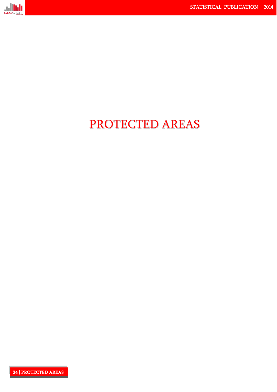

# PROTECTED AREAS

24 | PROTECTED AREAS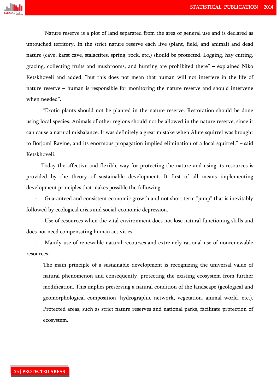

"Nature reserve is a plot of land separated from the area of general use and is declared as untouched territory. In the strict nature reserve each live (plant, field, and animal) and dead nature (cave, karst cave, stalactites, spring, rock, etc.) should be protected. Logging, hay cutting, grazing, collecting fruits and mushrooms, and hunting are prohibited there" – explained Niko Ketskhoveli and added: "but this does not mean that human will not interfere in the life of nature reserve – human is responsible for monitoring the nature reserve and should intervene when needed".

"Exotic plants should not be planted in the nature reserve. Restoration should be done using local species. Animals of other regions should not be allowed in the nature reserve, since it can cause a natural misbalance. It was definitely a great mistake when Alute squirrel was brought to Borjomi Ravine, and its enormous propagation implied elimination of a local squirrel," – said Ketskhoveli.

 Today the affective and flexible way for protecting the nature and using its resources is provided by the theory of sustainable development. It first of all means implementing development principles that makes possible the following:

Guaranteed and consistent economic growth and not short term "jump" that is inevitably followed by ecological crisis and social-economic depression.

Use of resources when the vital environment does not lose natural functioning skills and does not need compensating human activities.

Mainly use of renewable natural recourses and extremely rational use of nonrenewable resources.

The main principle of a sustainable development is recognizing the universal value of natural phenomenon and consequently, protecting the existing ecosystem from further modification. This implies preserving a natural condition of the landscape (geological and geomorphological composition, hydrographic network, vegetation, animal world, etc.). Protected areas, such as strict nature reserves and national parks, facilitate protection of ecosystem.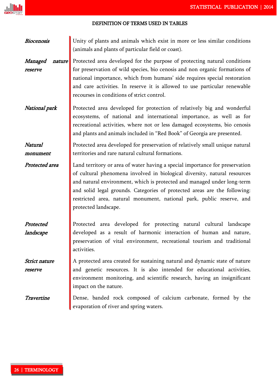### DEFINITION OF TERMS USED IN TABLES

| <b>Biocenosis</b>            | Unity of plants and animals which exist in more or less similar conditions<br>(animals and plants of particular field or coast).                                                                                                                                                                                                                                                                                   |
|------------------------------|--------------------------------------------------------------------------------------------------------------------------------------------------------------------------------------------------------------------------------------------------------------------------------------------------------------------------------------------------------------------------------------------------------------------|
| Managed<br>nature<br>reserve | Protected area developed for the purpose of protecting natural conditions<br>for preservation of wild species, bio cenosis and non organic formations of<br>national importance, which from humans' side requires special restoration<br>and care activities. In reserve it is allowed to use particular renewable<br>recourses in conditions of strict control.                                                   |
| National park                | Protected area developed for protection of relatively big and wonderful<br>ecosystems, of national and international importance, as well as for<br>recreational activities, where not or less damaged ecosystems, bio cenosis<br>and plants and animals included in "Red Book" of Georgia are presented.                                                                                                           |
| Natural<br>monument          | Protected area developed for preservation of relatively small unique natural<br>territories and rare natural cultural formations.                                                                                                                                                                                                                                                                                  |
| Protected area               | Land territory or area of water having a special importance for preservation<br>of cultural phenomena involved in biological diversity, natural resources<br>and natural environment, which is protected and managed under long-term<br>and solid legal grounds. Categories of protected areas are the following:<br>restricted area, natural monument, national park, public reserve, and<br>protected landscape. |
| Protected<br>landscape       | Protected area developed for protecting natural cultural landscape<br>developed as a result of harmonic interaction of human and nature,<br>preservation of vital environment, recreational tourism and traditional<br>activities.                                                                                                                                                                                 |
| Strict nature<br>reserve     | A protected area created for sustaining natural and dynamic state of nature<br>and genetic resources. It is also intended for educational activities,<br>environment monitoring, and scientific research, having an insignificant<br>impact on the nature.                                                                                                                                                         |
| Travertine                   | Dense, banded rock composed of calcium carbonate, formed by the<br>evaporation of river and spring waters.                                                                                                                                                                                                                                                                                                         |

<u>Jul</u>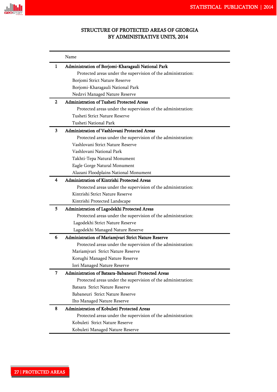

### STRUCTURE OF PROTECTED AREAS OF GEORGIA BY ADMINISTRATIVE UNITS, 2014

|   | Name                                                         |
|---|--------------------------------------------------------------|
| 1 | Administration of Borjomi-Kharagauli National Park           |
|   | Protected areas under the supervision of the administration: |
|   | Borjomi Strict Nature Reserve                                |
|   | Borjomi-Kharagauli National Park                             |
|   | Nedzvi Managed Nature Reserve                                |
| 2 | <b>Administration of Tusheti Protected Areas</b>             |
|   | Protected areas under the supervision of the administration: |
|   | Tusheti Strict Nature Reserve                                |
|   | <b>Tusheti National Park</b>                                 |
| 3 | Administration of Vashlovani Protected Areas                 |
|   | Protected areas under the supervision of the administration: |
|   | Vashlovani Strict Nature Reserve                             |
|   | Vashlovani National Park                                     |
|   | Takhti-Tepa Natural Monument                                 |
|   | Eagle Gorge Natural Monument                                 |
|   | Alazani Floodplains National Monument                        |
| 4 | Administration of Kintrishi Protected Areas                  |
|   | Protected areas under the supervision of the administration: |
|   | Kintrishi Strict Nature Reserve                              |
|   | Kintrishi Protected Landscape                                |
| 5 | Administration of Lagodekhi Protected Areas                  |
|   | Protected areas under the supervision of the administration: |
|   | Lagodekhi Strict Nature Reserve                              |
|   | Lagodekhi Managed Nature Reserve                             |
| 6 | Administration of Mariamjvari Strict Nature Reserve          |
|   | Protected areas under the supervision of the administration: |
|   | Mariamjvari Strict Nature Reserve                            |
|   | Korughi Managed Nature Reserve                               |
|   | Iori Managed Nature Reserve                                  |
| 7 | Administration of Batsara-Babaneuri Protected Areas          |
|   | Protected areas under the supervision of the administration: |
|   | Batsara Strict Nature Reserve                                |
|   | Babaneuri Strict Nature Reserve                              |
|   | Ilto Managed Nature Reserve                                  |
| 8 | Administration of Kobuleti Protected Areas                   |
|   | Protected areas under the supervision of the administration: |
|   | Kobuleti Strict Nature Reserve                               |
|   | Kobuleti Managed Nature Reserve                              |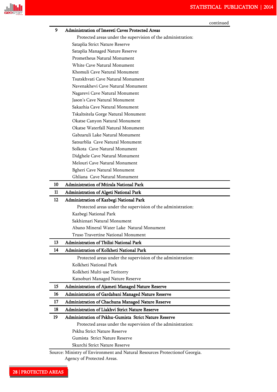

| 9  | Administration of Imereti Caves Protected Areas              |
|----|--------------------------------------------------------------|
|    | Protected areas under the supervision of the administration: |
|    | Sataplia Strict Nature Reserve                               |
|    | Sataplia Managed Nature Reserve                              |
|    | Prometheus Natural Monument                                  |
|    | White Cave Natural Monument                                  |
|    | Khomuli Cave Natural Monument                                |
|    | Tsutskhvati Cave Natural Monument                            |
|    | Navenakhevi Cave Natural Monument                            |
|    | Nagarevi Cave Natural Monument                               |
|    | Jason's Cave Natural Monument                                |
|    | Sakazhia Cave Natural Monument                               |
|    | Tskaltsitela Gorge Natural Monument                          |
|    | Okatse Canyon Natural Monument                               |
|    | Okatse Waterfall Natural Monument                            |
|    | Gabzaruli Lake Natural Monument                              |
|    | Satsurblia Cave Natural Monument                             |
|    | Solkota Cave Natural Monument                                |
|    | Didghele Cave Natural Monument                               |
|    | Melouri Cave Natural Monument                                |
|    | <b>Bgheri Cave Natural Monument</b>                          |
|    | Ghliana Cave Natural Monument                                |
| 10 | Administration of Mtirala National Park                      |
| 11 |                                                              |
|    | <b>Administration of Algeti National Park</b>                |
| 12 | Administration of Kazbegi National Park                      |
|    | Protected areas under the supervision of the administration: |
|    | Kazbegi National Park<br>Sakhiznari Natural Monument         |
|    | Abano Mineral Water Lake Natural Monument                    |
|    | Truso Travertine National Monument                           |
|    |                                                              |
| 13 | Administration of Tbilisi National Park                      |
| 14 | Administration of Kolkheti National Park                     |
|    | Protected areas under the supervision of the administration: |
|    | Kolkheti National Park                                       |
|    | Kolkheti Multi-use Teritorry                                 |
|    | Katsoburi Managed Nature Reserve                             |
| 15 | Administration of Ajameti Managed Nature Reserve             |
| 16 | Administration of Gardabani Managed Nature Reserve           |
|    | Administration of Chachuna Managed Nature Reserve            |
| 17 |                                                              |
| 18 | Administration of Liakhvi Strict Nature Reserve              |
| 19 | Administration of Pskhu-Gumista Strict Nature Reserve        |
|    | Protected areas under the supervision of the administration: |
|    | Pskhu Strict Nature Reserve                                  |
|    | Gumista Strict Nature Reserve                                |

Agency of Protected Areas.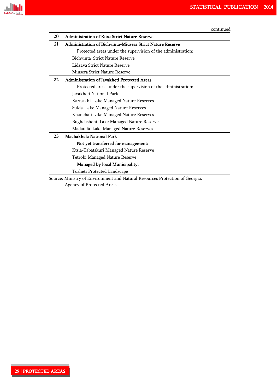

| 20 | <b>Administration of Ritsa Strict Nature Reserve</b>         |
|----|--------------------------------------------------------------|
| 21 | Administration of Bichvinta-Miusera Strict Nature Reserve    |
|    | Protected areas under the supervision of the administration: |
|    | Bichvinta Strict Nature Reserve                              |
|    | Lidzava Strict Nature Reserve                                |
|    | Miusera Strict Nature Reserve                                |
| 22 | Administration of Javakheti Protected Areas                  |
|    | Protected areas under the supervision of the administration: |
|    | Javakheti National Park                                      |
|    | Kartsakhi Lake Managed Nature Reserves                       |
|    | Sulda Lake Managed Nature Reserves                           |
|    | Khanchali Lake Managed Nature Reserves                       |
|    | Bughdasheni Lake Managed Nature Reserves                     |
|    | Madatafa Lake Managed Nature Reserves                        |
| 23 | Machakhela National Park                                     |
|    | Not yet transferred for management:                          |
|    | Ktsia-Tabatskuri Managed Nature Reserve                      |
|    | Tetrobi Managed Nature Reserve                               |
|    | Managed by local Municipality:                               |
|    | Tusheti Protected Landscape                                  |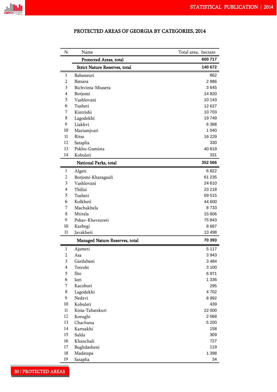

| N <sub>2</sub>           | Name                                 | Total area, hectare |
|--------------------------|--------------------------------------|---------------------|
|                          | Protected Areas, total               | 600 717             |
|                          | <b>Strict Nature Reserves, total</b> | 140 672             |
| 1                        | Babaneuri                            | 862                 |
| 2                        | Batsara                              | 2986                |
| 3                        | Bichvinta-Miusera                    | 3645                |
| 4                        | Borjomi                              | 14820               |
| 5                        | Vashlovani                           | 10 143              |
| 6                        | Tusheti                              | 12 627              |
| 7                        | Kintrishi                            | 10 703              |
| 8                        | Lagodekhi                            | 19749               |
| 9                        | Liakhvi                              | 6 3 8 8             |
| 10                       | Mariamjvari                          | 1 0 4 0             |
| 11                       | Ritsa                                | 16 229              |
| 12                       | Sataplia                             | 330                 |
| 13                       | Pskhu-Gumista                        | 40819               |
| 14                       | Kobuleti                             | 331                 |
|                          | National Parks, total                | 352 566             |
| 1                        | Algeti                               | 6822                |
| 2                        | Borjomi-Kharagauli                   | 61 235              |
| 3                        | Vashlovani                           | 24 610              |
| $\overline{\mathcal{A}}$ | Tbilisi                              | 23 218              |
| 5                        | Tusheti                              | 69515               |
| 6                        | Kolkheti                             | 44 600              |
| 7                        | Machakhela                           | 8733                |
| 8                        | Mtirala                              | 15 806              |
| 9                        | Pshav-Khevsureti                     | 75 843              |
| 10                       | Kazbegi                              | 8687                |
| 11                       | Javakheti                            | 13 4 98             |
|                          | Managed Nature Reserves, total       | 70 393              |
| 1                        | Ajameti                              | 5 1 1 7             |
| $\sqrt{2}$               | Asa                                  | 3943                |
| 3                        | Gardabani                            | 3 4 8 4             |
| $\overline{\mathbf{4}}$  | Tetrobi                              | 3 100               |
| 5                        | Ilto                                 | 6971                |
| 6                        | Iori                                 | 1 3 3 6             |
| 7                        | Kacoburi                             | 295                 |
| 8                        | Lagodekhi                            | 4702                |
| 9                        | Nedzvi                               | 8992                |
| 10                       | Kobuleti                             | 439                 |
| 11                       | Ktsia-Tabatskuri                     | 22 000              |
| 12                       | Korughi                              | 2 0 6 8             |
| 13                       | Chachuna                             | 5 2 0 0             |
| 14                       | Kartsakhi                            | 158                 |
| 15                       | Sulda                                | 309                 |
| 16                       | Khanchali                            | 727                 |
| 17                       | Bughdasheni                          | 119                 |
| 18                       | Madatapa                             | 1 3 9 8             |
| 19                       | Sataplia                             | 34                  |

### PROTECTED AREAS OF GEORGIA BY CATEGORIES, 2014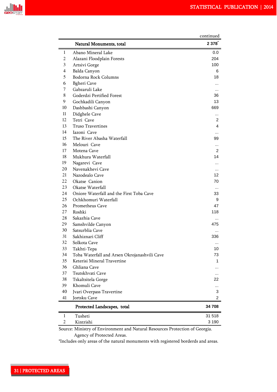

|          |                                                                             | continued |
|----------|-----------------------------------------------------------------------------|-----------|
|          | Natural Monuments, total                                                    | 2 378     |
| 1        | Abano Mineral Lake                                                          | 0.0       |
| 2        | Alazani Floodplain Forests                                                  | 204       |
| 3        | Artsivi Gorge                                                               | 100       |
| 4        | Balda Canyon                                                                | 6         |
| 5        | Bodorna Rock Columns                                                        | 18        |
| 6        | <b>Bgheri</b> Cave                                                          |           |
| 7        | Gabzaruli Lake                                                              |           |
| 8        | Goderdzi Pertified Forest                                                   | 36        |
| 9        | Gochkadili Canyon                                                           | 13        |
| 10       | Dashbashi Canyon                                                            | 669       |
| 11       | Didghele Cave                                                               |           |
| 12       | Tetri Cave                                                                  | 2         |
| 13       | <b>Truso Travertines</b>                                                    | 4         |
| 14       | <b>Iazoni</b> Cave                                                          |           |
| 15       | The River Abasha Waterfall                                                  | 99        |
| 16       | Melouri Cave                                                                |           |
| 17       | Motena Cave                                                                 | 2         |
| 18       | Mukhura Waterfall                                                           | 14        |
| 19       | Nagarevi Cave                                                               |           |
| 20       | Navenakhevi Cave                                                            |           |
| 21       | Nazodealo Cave                                                              | 12        |
| 22       | Okatse Canion                                                               | 70        |
| 23       | Okatse Waterfall                                                            |           |
| 24       | Oniore Waterfall and the First Toba Cave                                    | 33        |
| 25       | Ochkhomuri Waterfall                                                        | 9         |
| 26       | Prometheus Cave                                                             | 47        |
| 27<br>28 | Roshki                                                                      | 118       |
| 29       | Sakazhia Cave                                                               | .<br>475  |
| 30       | Samshvilde Canyon<br>Satsurblia Cave                                        |           |
| 31       | Sakhiznari Cliff                                                            | 336       |
| 32       | Solkota Cave                                                                |           |
| 33       | Takhti-Tepa                                                                 | 10        |
| 34       | Toba Waterfall and Arsen Okrojanashvili Cave                                | 73        |
| 35       | Keterisi Mineral Travertine                                                 | 1         |
| 36       | Ghliana Cave                                                                |           |
| 37       | Tsutskhvati Cave                                                            |           |
| 38       | Tskaltsitela Gorge                                                          | 22        |
| 39       | Khomuli Cave                                                                |           |
| 40       | Jvari Overpass Travertine                                                   | 3         |
| 41       | Jortsku Cave                                                                | 2         |
|          | Protected Landscapes, total                                                 | 34 708    |
| 1        | Tusheti                                                                     | 31 518    |
| 2        | Kintrishi                                                                   | 3 1 9 0   |
|          | Source: Ministry of Environment and Natural Resources Protection of Georgia |           |

 Source: Ministry of Environment and Natural Resources Protection of Georgia. Agency of Protected Areas.

\*Includes only areas of the natural monuments with registered borderds and areas.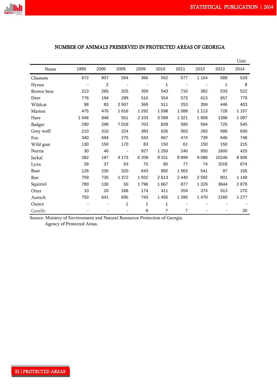

### <u>Unit</u> Contract of the Contract of the Contract of the Contract of the Contract of the Contract of the Contract of the Contract of the Contract of the Contract of the Contract of the Contract of the Contract of the Contrac Name 1995 2000 2005 2009 2010 2011 2012 2013 2014 Chamois 672 807 594 366 552 577 1 154 589 529 Hyena - 2 - - 1 - - 1 8 Brown bear 213 265 325 359 543 710 382 533 522 Deer 776 194 299 510 554 573 613 657 779 Wildcat 98 83 2 507 369 511 253 359 446 403 Marten 475 476 1 816 1 292 1 598 1 088 1 113 728 1 157 Hare 1 046 948 551 2 103 3 599 1 321 1 908 1396 1 097 Badger 290 298 7 018 703 828 585 594 725 545 Grey wolf 210 310 224 383 626 563 260 586 630 Fox 340 694 275 543 667 474 739 646 748 Wild goat 130 150 170 83 150 61 150 150 215 Nutria 30 40 - 927 1 293 240 950 1600 425 Jackal 282 187 4 173 6 209 9 151 8 899 9 088 10246 8 606 Lynx 39 37 63 75 85 77 74 1018 874 Boar 126 230 320 643 892 1 563 541 97 155 Roe 759 735 1 372 1 932 2 613 2 440 2 592 801 1 148 Squirrel 780 130 50 1 796 1 667 877 1 329 3644 2 878 Otter 10 20 168 174 411 204 374 513 270 Auroch 750 641 695 743 1 455 1 395 1 470 2160 1 277 Ounce 2008 - 2008 - 2008 1 2008 1 2008 1 2008 1 2008 1 2008 1 2008 1 2008 1 2008 1 2008 1 2008 1 2008 1 2008 1 Gazelle - - - 9 7 7 - - 20

### NUMBER OF ANIMALS PRESERVED IN PROTECTED AREAS OF GEORIGA

Source: Ministry of Environment and Natural Resources Protection of Georgia.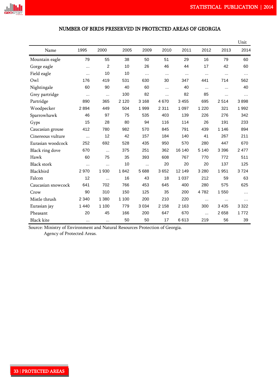

### NUMBER OF BIRDS PRESERVED IN PROTECTED AREAS OF GEORGIA

|                    |           |          |         |         |          |         |          |          | Unit     |
|--------------------|-----------|----------|---------|---------|----------|---------|----------|----------|----------|
| Name               | 1995      | 2000     | 2005    | 2009    | 2010     | 2011    | 2012     | 2013     | 2014     |
| Mountain eagle     | 79        | 55       | 38      | 50      | 51       | 29      | 16       | 79       | 60       |
| Gorge eagle        | $\cdots$  | 2        | 10      | 26      | 46       | 44      | 17       | 42       | 60       |
| Field eagle        | $\ddotsc$ | 10       | 10      | .       | $\cdots$ |         | $\cdots$ | $\cdots$ | $\cdots$ |
| Owl                | 176       | 419      | 531     | 630     | 30       | 347     | 441      | 714      | 562      |
| Nightingale        | 60        | 90       | 40      | 60      | $\cdots$ | 40      | $\cdots$ |          | 40       |
| Grey partridge     | $\cdots$  | $\cdots$ | 100     | 82      | $\cdots$ | 82      | 85       | $\cdots$ | $\cdots$ |
| Partridge          | 890       | 365      | 2 1 2 0 | 3 1 6 8 | 4670     | 3 4 5 5 | 695      | 2514     | 3898     |
| Woodpecker         | 2894      | 449      | 504     | 1999    | 2 3 1 1  | 1 0 9 7 | 1 2 2 0  | 321      | 1992     |
| Sparrowhawk        | 46        | 97       | 75      | 535     | 403      | 139     | 226      | 276      | 342      |
| Gyps               | 15        | 28       | 80      | 94      | 116      | 114     | 26       | 191      | 233      |
| Caucasian grouse   | 412       | 780      | 982     | 570     | 845      | 791     | 439      | 1 1 4 6  | 894      |
| Cinereous vulture  | $\ddotsc$ | 12       | 42      | 157     | 184      | 140     | 41       | 267      | 211      |
| Eurasian woodcock  | 252       | 692      | 528     | 435     | 950      | 570     | 280      | 447      | 670      |
| Black ring dove    | 670       | $\cdots$ | 375     | 251     | 362      | 16 140  | 5 1 4 0  | 3 3 9 6  | 2 4 7 7  |
| Hawk               | 60        | 75       | 35      | 393     | 608      | 767     | 770      | 772      | 511      |
| <b>Black stork</b> | $\cdots$  | $\cdots$ | 10      |         | 20       | 20      | 20       | 137      | 125      |
| Blackbird          | 2970      | 1 9 3 0  | 1842    | 5688    | 3652     | 12 149  | 3 2 8 0  | 1951     | 3724     |
| Falcon             | 12        | $\cdots$ | 16      | 43      | 18       | 1 0 3 7 | 212      | 59       | 63       |
| Caucasian snowcock | 641       | 702      | 766     | 453     | 645      | 400     | 280      | 575      | 625      |
| Crow               | 90        | 310      | 150     | 125     | 35       | 200     | 4782     | 1550     | $\cdots$ |
| Mistle thrush      | 2 3 4 0   | 1 3 8 0  | 1 100   | 200     | 210      | 220     | $\cdots$ | $\cdots$ | $\cdots$ |
| Eurasian jay       | 1 4 4 0   | 1 100    | 779     | 3 0 3 4 | 2 1 5 8  | 2 1 6 3 | 300      | 3435     | 3 3 2 2  |
| Pheasant           | 20        | 45       | 166     | 200     | 647      | 670     | $\cdots$ | 2658     | 1772     |
| <b>Black kite</b>  | $\cdots$  |          | 50      | 50      | 17       | 6613    | 219      | 56       | 39       |

Source: Ministry of Environment and Natural Resources Protection of Georgia.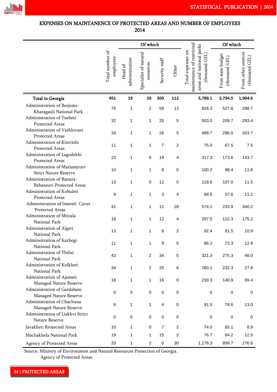

### EXPENSES ON MAINTANENCE OF PROTECTED AREAS AND NUMBER OF EMPLOYEES 2014

|                                                               |                              | Of which                  |                                    |                |                         | Of which                                                                                     |                                     |                                      |
|---------------------------------------------------------------|------------------------------|---------------------------|------------------------------------|----------------|-------------------------|----------------------------------------------------------------------------------------------|-------------------------------------|--------------------------------------|
|                                                               | Total number of<br>employees | administration<br>Head of | Specialist of natural<br>resources | Security staff | Other                   | maintenance of restricted<br>areas and national parks<br>Total expenses on<br>(thousand GEL) | From state budget<br>(thousand GEL) | From other sources<br>(thousand GEL) |
| Total in Georgia                                              | 451                          | 19                        | 20                                 | 300            | 112                     | 5,789.1                                                                                      | 3,794.5                             | 1,994.6                              |
| Administration of Borjomi-<br>Kharagauli National Park        | 75                           | 1                         | $\overline{c}$                     | 59             | 13                      | 826.3                                                                                        | 527.6                               | 298.7                                |
| Administration of Tusheti<br>Protected Areas                  | 32                           | 1                         | 1                                  | 25             | 5                       | 503.0                                                                                        | 209.7                               | 293.4                                |
| Administration of Vashlovani<br>Protected Areas               | 33                           | 1                         | 1                                  | 26             | 5                       | 499.7                                                                                        | 296.0                               | 203.7                                |
| Administration of Kintrishi<br>Protected Areas                | 11                           | 1                         | 1                                  | $\overline{7}$ | $\overline{\mathbf{c}}$ | 75.0                                                                                         | 67.5                                | 7.5                                  |
| Administration of Lagodekhi<br>Protected Areas                | 23                           | 1                         | 0                                  | 18             | 4                       | 317.3                                                                                        | 173.6                               | 143.7                                |
| Administration of Mariamjvari<br><b>Strict Nature Reserve</b> | 10                           | 1                         | 1                                  | 8              | 0                       | 100.2                                                                                        | 88.4                                | 11.8                                 |
| Administration of Batsara-<br>Babaneuri Protected Areas       | 13                           | 1                         | 0                                  | 12             | 0                       | 118.6                                                                                        | 107.0                               | 11.5                                 |
| Administration of Kobuleti<br>Protected Areas                 | 9                            | 1                         | 1                                  | 3              | 4                       | 68.6                                                                                         | 57.6                                | 11.2                                 |
| Administration of Imereti Caves<br>Protected Areas            | 41                           | 1                         | 1                                  | 11             | 28                      | 574.1                                                                                        | 233.9                               | 340.2                                |
| Administration of Mtirala<br>National Park                    | 18                           | 1                         | 1                                  | 12             | 4                       | 297.5                                                                                        | 122.3                               | 175.2                                |
| Administration of Algeti<br>National Park                     | 13                           | 1                         | 1                                  | 9              | $\overline{c}$          | 92.4                                                                                         | 81.5                                | 10.9                                 |
| Adminsitraiton of Kazbegi<br>National Park                    | 11                           |                           |                                    | 9              | 0                       | 86.2                                                                                         | 73.3                                | 12.9                                 |
| Administration of Tbilisi<br>National Park                    | 42                           | 1                         | $\overline{c}$                     | 34             | 5                       | 321.3                                                                                        | 275.3                               | 46.0                                 |
| Administration of Kolkheti<br>National Park                   | 34                           | 1                         | $\overline{c}$                     | 25             | 6                       | 260.1                                                                                        | 232.3                               | 27.8                                 |
| Administration of Ajameti<br>Managed Nature Reserve           | 18                           | 1                         | 1                                  | 16             | $\,0\,$                 | 230.3                                                                                        | 140.9                               | 89.4                                 |
| Administration of Gardabani<br>Managed Nature Reserve         | 0                            | 0                         | 0                                  | 0              | $\pmb{0}$               | 0                                                                                            | 0                                   | 0                                    |
| Administration of Chachuna<br>Managed Nature Reserve          | 6                            | 1                         | 1                                  | 4              | $\,0\,$                 | 91.5                                                                                         | 78.6                                | 13.0                                 |
| Administration of Liakhvi Strict<br>Nature Reserve            | 0                            | 0                         | $\,0\,$                            | 0              | $\,0\,$                 | $\,0\,$                                                                                      | $\pmb{0}$                           | 0                                    |
| Javakheti Rrotected Areas                                     | 10                           | 1                         | 0                                  | 7              | $\overline{c}$          | 74.0                                                                                         | 65.1                                | 8.9                                  |
| Machakhela National Park                                      | 19                           | 1                         | 1                                  | 15             | 2                       | 76.7                                                                                         | 64.2                                | 12.5                                 |
| Agency of Protected Areas                                     | 33                           | $\mathbf{1}$              | $\overline{c}$                     | $\pmb{0}$      | $30\,$                  | 1,176.3                                                                                      | 899.7                               | 276.6                                |

Source: Ministry of Environment and Natural Resources Protection of Georgia.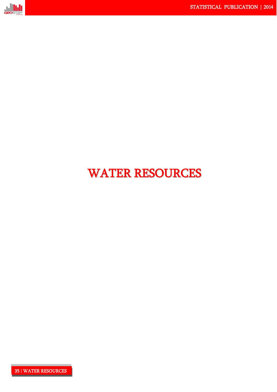

# WATER RESOURCES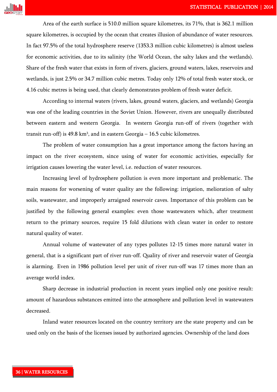

Area of the earth surface is 510.0 million square kilometres, its 71%, that is 362.1 million square kilometres, is occupied by the ocean that creates illusion of abundance of water resources. In fact 97.5% of the total hydrosphere reserve (1353.3 million cubic kilometres) is almost useless for economic activities, due to its salinity (the World Ocean, the salty lakes and the wetlands). Share of the fresh water that exists in form of rivers, glaciers, ground waters, lakes, reservoirs and wetlands, is just 2.5% or 34.7 million cubic metres. Today only 12% of total fresh water stock, or 4.16 cubic metres is being used, that clearly demonstrates problem of fresh water deficit.

According to internal waters (rivers, lakes, ground waters, glaciers, and wetlands) Georgia was one of the leading countries in the Soviet Union. However, rivers are unequally distributed between eastern and western Georgia. In western Georgia run-off of rivers (together with transit run-off) is 49.8 km<sup>3</sup>, and in eastern Georgia – 16.5 cubic kilometres.

The problem of water consumption has a great importance among the factors having an impact on the river ecosystem, since using of water for economic activities, especially for irrigation causes lowering the water level, i.e. reduction of water resources.

Increasing level of hydrosphere pollution is even more important and problematic. The main reasons for worsening of water quality are the following: irrigation, melioration of salty soils, wastewater, and improperly arraigned reservoir caves. Importance of this problem can be justified by the following general examples: even those wastewaters which, after treatment return to the primary sources, require 15 fold dilutions with clean water in order to restore natural quality of water.

Annual volume of wastewater of any types pollutes 12-15 times more natural water in general, that is a significant part of river run-off. Quality of river and reservoir water of Georgia is alarming. Even in 1986 pollution level per unit of river run-off was 17 times more than an average world index.

Sharp decrease in industrial production in recent years implied only one positive result: amount of hazardous substances emitted into the atmosphere and pollution level in wastewaters decreased.

Inland water resources located on the country territory are the state property and can be used only on the basis of the licenses issued by authorized agencies. Ownership of the land does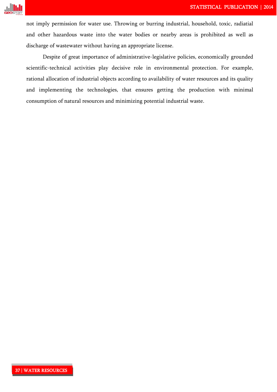

not imply permission for water use. Throwing or burring industrial, household, toxic, radiatial and other hazardous waste into the water bodies or nearby areas is prohibited as well as discharge of wastewater without having an appropriate license.

Despite of great importance of administrative-legislative policies, economically grounded scientific-technical activities play decisive role in environmental protection. For example, rational allocation of industrial objects according to availability of water resources and its quality and implementing the technologies, that ensures getting the production with minimal consumption of natural resources and minimizing potential industrial waste.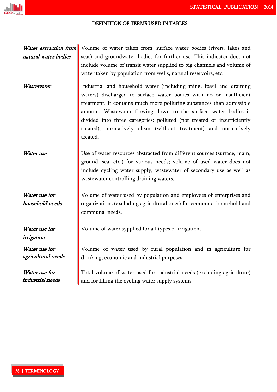### DEFINITION OF TERMS USED IN TABLES

Water extraction from natural water bodies

Volume of water taken from surface water bodies (rivers, lakes and seas) and groundwater bodies for further use. This indicator does not include volume of transit water supplied to big channels and volume of water taken by population from wells, natural reservoirs, etc.

Water use for household needs

Water use for irrigation

Water use for agricultural needs

Water use for industrial needs

Wastewater **I** Industrial and household water (including mine, fossil and draining waters) discharged to surface water bodies with no or insufficient

treatment. It contains much more polluting substances than admissible amount. Wastewater flowing down to the surface water bodies is divided into three categories: polluted (not treated or insufficiently treated), normatively clean (without treatment) and normatively treated.

Water use Use of water resources abstracted from different sources (surface, main, ground, sea, etc.) for various needs; volume of used water does not include cycling water supply, wastewater of secondary use as well as wastewater controlling draining waters.

> Volume of water used by population and employees of enterprises and organizations (excluding agricultural ones) for economic, household and communal needs.

Volume of water sypplied for all types of irrigation.

Volume of water used by rural population and in agriculture for drinking, economic and industrial purposes.

Total volume of water used for industrial needs (excluding agriculture) and for filling the cycling water supply systems.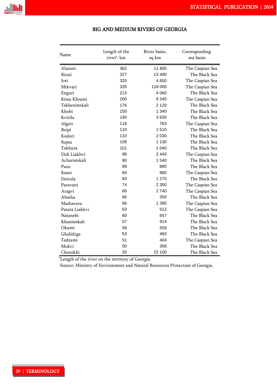

| Name           | Length of the<br>river', km | River basin,<br>sq km | Corresponding<br>sea basin |
|----------------|-----------------------------|-----------------------|----------------------------|
| Alazani        | 362                         | 11 800                | The Caspian Sea            |
| Rioni          | 327                         | 13 400                | The Black Sea              |
| <b>Iori</b>    | 320                         | 4650                  | The Caspian Sea            |
| Mtkvari        | 326                         | 118 000               | The Caspian Sea            |
| Enguri         | 213                         | 4 0 6 0               | The Black Sea              |
| Ktsia-Khrami   | 200                         | 8 3 4 0               | The Caspian Sea            |
| Tskhenistskali | 176                         | 2 1 2 0               | The Black Sea              |
| Khobi          | 150                         | 1 340                 | The Black Sea              |
| Kvirila        | 140                         | 3630                  | The Black Sea              |
| Algeti         | 118                         | 763                   | The Caspian Sea            |
| <b>Bzipi</b>   | 110                         | 1510                  | The Black Sea              |
| Kodori         | 110                         | 2 0 3 0               | The Black Sea              |
| Supsa          | 108                         | 1 1 3 0               | The Black Sea              |
| Tekhura        | 101                         | 1 040                 | The Black Sea              |
| Didi Liakhvi   | 98                          | 2 4 4 0               | The Caspian Sea            |
| Acharistskali  | 90                          | 1 540                 | The Black Sea              |
| Psou           | 89                          | 885                   | The Black Sea              |
| Ksani          | 84                          | 885                   | The Caspian Sea            |
| Dzirula        | 83                          | 1 270                 | The Black Sea              |
| Paravani       | 74                          | 2 3 5 0               | The Caspian Sea            |
| Aragvi         | 66                          | 2740                  | The Caspian Sea            |
| Abasha         | 66                          | 350                   | The Black Sea              |
| Mashavera      | 66                          | 1 3 9 0               | The Caspian Sea            |
| Patara Liakhvi | 63                          | 513                   | The Caspian Sea            |
| Natanebi       | 60                          | 657                   | The Black Sea              |
| Khanistskali   | 57                          | 914                   | The Black Sea              |
| Okumi          | 56                          | 559                   | The Black Sea              |
| Ghalidzga      | 53                          | 483                   | The Black Sea              |
| Tedzami        | 51                          | 404                   | The Caspian Sea            |
| Mokvi          | 50                          | 356                   | The Black Sea              |
| Chorokhi       | 26                          | 22 100                | The Black Sea              |

### BIG AND MEDIUM RIVERS OF GEORGIA

\*Length of the river on the territory of Georgia.

Source: Ministry of Environment and Natural Resources Protection of Georgia.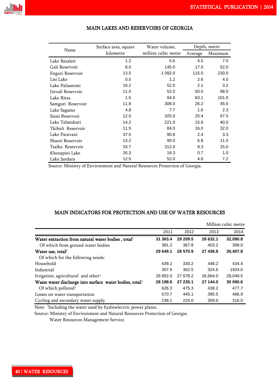

| Name              | Surface area, square | Water volume,       | Depth, metre |         |  |
|-------------------|----------------------|---------------------|--------------|---------|--|
|                   | kilometre            | million cubic metre | Average      | Maximum |  |
| Lake Bazaleti     | 1.2                  | 5.6                 | 4.5          | 7.0     |  |
| Gali Reservoir    | 8.0                  | 145.0               | 17.0         | 52.0    |  |
| Enguri Reservoir  | 13.5                 | 1 0 9 2.0           | 115.0        | 230.0   |  |
| Lisi Lake         | 0.5                  | 1.2                 | 2.6          | 4.0     |  |
| Lake Paliastomi   | 18.2                 | 52.0                | 2.1          | 3.2     |  |
| Jinvali Reservoir | 11.5                 | 52.0                | 50.0         | 98.0    |  |
| Lake Ritza        | 1.5                  | 94.0                | 63.1         | 101.0   |  |
| Samgori Reservoir | 11.8                 | 308.0               | 26.2         | 45.0    |  |
| Lake Sagamo       | 4.8                  | 7.7                 | 1.6          | 2.3     |  |
| Sioni Reservoir   | 12.0                 | 325.0               | 25.4         | 67.5    |  |
| Lake Tabatskuri   | 14.2                 | 221.0               | 15.6         | 40.0    |  |
| Tkibuli Reservoir | 11.5                 | 84.0                | 16.0         | 32.0    |  |
| Lake Paravani     | 37.5                 | 90.8                | 2.4          | 3.3     |  |
| Shaori Reservoir  | 13.2                 | 90.0                | 6.8          | 11.5    |  |
| Tsalka Reservoir  | 33.7                 | 312.0               | 9.3          | 25.0    |  |
| Khozapini Lake    | 26.3                 | 19.3                | 0.7          | 1.0     |  |
| Lake Jandara      | 12.5                 | 52.0                | 4.6          | 7.2     |  |

### MAIN LAKES AND RESERVOIRS OF GEORGIA

Source: Ministry of Environment and Natural Resources Protection of Georgia.

### MAIN INDICATORS FOR PROTECTION AND USE OF WATER RESOURCES

|                                                                     |          |          |          | Million cubic metre |
|---------------------------------------------------------------------|----------|----------|----------|---------------------|
|                                                                     | 2011     | 2012     | 2013     | 2014                |
| Water extraction from natural water bodies, total <sup>1</sup>      | 31 363.4 | 29 209.5 | 28 632.1 | 32,080.8            |
| Of which from ground water bodies                                   | 381.2    | 367.8    | 403.2    | 399.0               |
| Water use, total <sup>1</sup>                                       | 29 649.1 | 28 570.9 | 27 436.8 | 30,407.8            |
| Of which for the following needs:                                   |          |          |          |                     |
| Household                                                           | 439.2    | 330.2    | 448.2    | 434.4               |
| Industrial                                                          | 357.9    | 362.5    | 324.6    | 1924.0              |
| Irrigation, agricultural and other <sup>1</sup>                     | 28 852.0 | 27 678.2 | 26,664.0 | 28,049.5            |
| Waste water discharge into surface water bodies, total <sup>1</sup> | 28 198.6 | 27 235.1 | 27 144.0 | 30 090.6            |
| Of which polluted $l$                                               | 626.3    | 475.3    | 438.2    | 477.7               |
| Losses on water transportation                                      | 570.7    | 445.1    | 395.5    | 486.9               |
| Cycling and secondary water supply                                  | 238.1    | 224.0    | 309.0    | 316.0               |

Note: <sup>1</sup>Including the water used by hydroelectric power plants.

Source: Ministry of Environment and Natural Resources Protection of Georgia.

Water Resources Management Service.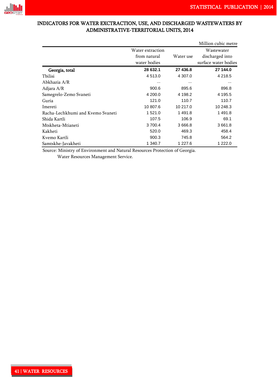

### INDICATORS FOR WATER EXCTRACTION, USE, AND DISCHARGED WASTEWATERS BY ADMINISTRATIVE-TERRITORIAL UNITS, 2014

|                                   |                  |            | Million cubic metre  |
|-----------------------------------|------------------|------------|----------------------|
|                                   | Water extraction |            | Wastewater           |
|                                   | from natural     | Water use  | discharged into      |
|                                   | water bodies     |            | surface water bodies |
| Georgia, total                    | 28 632.1         | 27 436.8   | 27 144.0             |
| Tbilisi                           | 4 5 1 3 .0       | 4 307.0    | 4 2 1 8 . 5          |
| Abkhazia A/R                      |                  | $\cdots$   |                      |
| Adjara A/R                        | 900.6            | 895.6      | 896.8                |
| Samegrelo-Zemo Svaneti            | 4 200.0          | 4 198.2    | 4 195.5              |
| Guria                             | 121.0            | 110.7      | 110.7                |
| Imereti                           | 10 807.6         | 10 217.0   | 10 248.3             |
| Racha-Lechkhumi and Kvemo Svaneti | 1 521.0          | 1491.8     | 1491.8               |
| Shida Kartli                      | 107.5            | 106.9      | 69.1                 |
| Mtskheta-Mtianeti                 | 3 700.4          | 3 6 6 6 .8 | 3 661.8              |
| Kakheti                           | 520.0            | 469.3      | 458.4                |
| Kvemo Kartli                      | 900.3            | 745.8      | 564.2                |
| Samtskhe-Javakheti                | 1 340.7          | 1 227.6    | 1 2 2 2.0            |

Source: Ministry of Environment and Natural Resources Protection of Georgia.

Water Resources Management Service.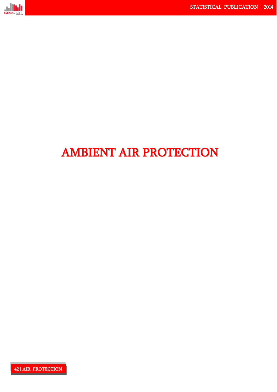

# AMBIENT AIR PROTECTION

42 | AIR PROTECTION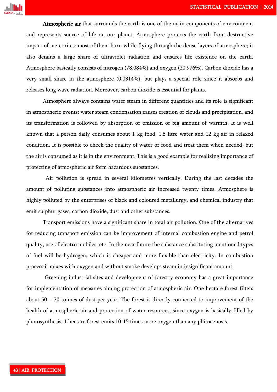

Atmospheric air that surrounds the earth is one of the main components of environment and represents source of life on our planet. Atmosphere protects the earth from destructive impact of meteorites: most of them burn while flying through the dense layers of atmosphere; it also detains a large share of ultraviolet radiation and ensures life existence on the earth. Atmosphere basically consists of nitrogen (78.084%) and oxygen (20.976%). Carbon dioxide has a very small share in the atmosphere (0.0314%), but plays a special role since it absorbs and releases long wave radiation. Moreover, carbon dioxide is essential for plants.

Atmosphere always contains water steam in different quantities and its role is significant in atmospheric events: water steam condensation causes creation of clouds and precipitation, and its transformation is followed by absorption or emission of big amount of warmth. It is well known that a person daily consumes about 1 kg food, 1.5 litre water and 12 kg air in relaxed condition. It is possible to check the quality of water or food and treat them when needed, but the air is consumed as it is in the environment. This is a good example for realizing importance of protecting of atmospheric air form hazardous substances.

Air pollution is spread in several kilometres vertically. During the last decades the amount of polluting substances into atmospheric air increased twenty times. Atmosphere is highly polluted by the enterprises of black and coloured metallurgy, and chemical industry that emit sulphur gases, carbon dioxide, dust and other substances.

Transport emissions have a significant share in total air pollution. One of the alternatives for reducing transport emission can be improvement of internal combustion engine and petrol quality, use of electro mobiles, etc. In the near future the substance substituting mentioned types of fuel will be hydrogen, which is cheaper and more flexible than electricity. In combustion process it mixes with oxygen and without smoke develops steam in insignificant amount.

Greening industrial sites and development of forestry economy has a great importance for implementation of measures aiming protection of atmospheric air. One hectare forest filters about 50 – 70 tonnes of dust per year. The forest is directly connected to improvement of the health of atmospheric air and protection of water resources, since oxygen is basically filled by photosynthesis. 1 hectare forest emits 10-15 times more oxygen than any phitocenosis.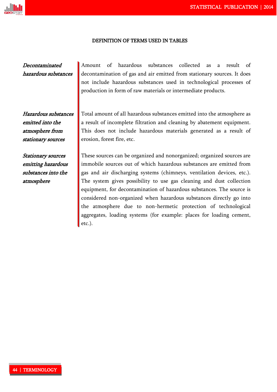#### DEFINITION OF TERMS USED IN TABLES

### Decontaminated hazardous substances

Hazardous substances emitted into the atmosphere from stationary sources

Stationary sources emitting hazardous substances into the atmosphere

Amount of hazardous substances collected as a result of decontamination of gas and air emitted from stationary sources. It does not include hazardous substances used in technological processes of production in form of raw materials or intermediate products.

Total amount of all hazardous substances emitted into the atmosphere as a result of incomplete filtration and cleaning by abatement equipment. This does not include hazardous materials generated as a result of erosion, forest fire, etc.

These sources can be organized and nonorganized; organized sources are immobile sources out of which hazardous substances are emitted from gas and air discharging systems (chimneys, ventilation devices, etc.). The system gives possibility to use gas cleaning and dust collection equipment, for decontamination of hazardous substances. The source is considered non-organized when hazardous substances directly go into the atmosphere due to non-hermetic protection of technological aggregates, loading systems (for example: places for loading cement, etc.).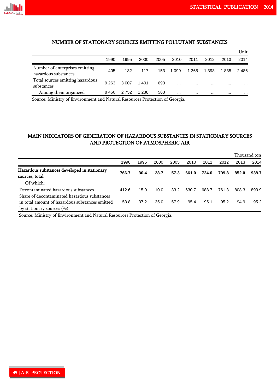

### NUMBER OF STATIONARY SOURCES EMITTING POLLUTANT SUBSTANCES

|                                                        |         |         |       |      |          |          |          |          | Unit     |
|--------------------------------------------------------|---------|---------|-------|------|----------|----------|----------|----------|----------|
|                                                        | 1990    | 1995    | 2000  | 2005 | 2010     | 2011     | 2012     | 2013     | 2014     |
| Number of enterprises emitting<br>hazardous substances | 405     | 132     | 117   | 153  | 1 0 9 9  | 1 3 6 5  | 1 398    | 1835     | 2486     |
| Total sources emitting hazardous<br>substances         | 9 2 6 3 | 3 0 0 7 | 1401  | 693  | $\cdots$ | $\cdots$ | $\cdots$ | $\cdots$ | $\cdots$ |
| Among them organized                                   | 8460    | 2 7 5 2 | 1 238 | 563  | $\cdots$ |          |          | $\cdots$ |          |

Source: Ministry of Environment and Natural Resources Protection of Georgia.

### MAIN INDICATORS OF GENERATION OF HAZARDOUS SUBSTANCES IN STATIONARY SOURCES AND PROTECTION OF ATMOSPHERIC AIR

|                                                                                     |       |      |      |      |       |       |       |       | Thousand ton |
|-------------------------------------------------------------------------------------|-------|------|------|------|-------|-------|-------|-------|--------------|
|                                                                                     | 1990  | 1995 | 2000 | 2005 | 2010  | 2011  | 2012  | 2013  | 2014         |
| Hazardous substances developed in stationary<br>sources, total                      | 766.7 | 30.4 | 28.7 | 57.3 | 661.0 | 724.0 | 799.8 | 852.0 | 938.7        |
| Of which:                                                                           |       |      |      |      |       |       |       |       |              |
| Decontaminated hazardous substances<br>Share of decontaminated hazardous substances | 412.6 | 15.0 | 10.0 | 33.2 | 630.7 | 688.7 | 761.3 | 808.3 | 893.9        |
| in total amount of hazardous substances emitted<br>by stationary sources $(\% )$    | 53.8  | 37.2 | 35.0 | 57.9 | 95.4  | 95.1  | 95.2  | 94.9  | 95.2         |

Source: Ministry of Environment and Natural Resources Protection of Georgia.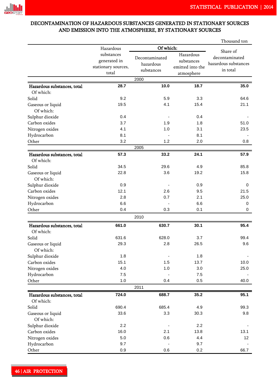### DECONTAMINATION OF HAZARDOUS SUBSTANCES GENERATED IN STATIONARY SOURCES AND EMISSION INTO THE ATMOSPHERE, BY STATIONARY SOURCES

|                             |                     | Thousand ton   |                  |                      |
|-----------------------------|---------------------|----------------|------------------|----------------------|
|                             | Hazardous           | Of which:      | Share of         |                      |
|                             | substances          | Decontaminated | Hazardous        | decontaminated       |
|                             | generated in        | hazardous      | substances       | hazardous substances |
|                             | stationary sources, |                | emitted into the |                      |
|                             | total               | substances     | atmosphere       | in total             |
|                             |                     | 2000           |                  |                      |
| Hazardous substances, total | 28.7                | 10.0           | 18.7             | 35.0                 |
| Of which:                   |                     |                |                  |                      |
| Solid                       | 9.2                 | 5.9            | 3.3              | 64.6                 |
| Gaseous or liquid           | 19.5                | 4.1            | 15.4             | 21.1                 |
| Of which:                   |                     |                |                  |                      |
| Sulphur dioxide             | 0.4                 |                | 0.4              |                      |
| Carbon oxides               | 3.7                 | 1.9            | 1.8              | 51.0                 |
| Nitrogen oxides             | 4.1                 | 1.0            | 3.1              | 23.5                 |
| Hydrocarbon                 | 8.1                 |                | 8.1              |                      |
| Other                       | 3.2                 | 1.2            | 2.0              | 0.8                  |
|                             |                     | 2005           |                  |                      |
| Hazardous substances, total | 57.3                | 33.2           | 24.1             | 57.9                 |
| Of which:                   |                     |                |                  |                      |
| Solid                       | 34.5                | 29.6           | 4.9              | 85.8                 |
| Gaseous or liquid           | 22.8                | 3.6            | 19.2             | 15.8                 |
| Of which:                   |                     |                |                  |                      |
| Sulphur dioxide             | 0.9                 |                | 0.9              | 0                    |
| Carbon oxides               | 12.1                | 2.6            | 9.5              | 21.5                 |
| Nitrogen oxides             | 2.8                 | 0.7            | 2.1              | 25.0                 |
| Hydrocarbon                 | 6.6                 |                | 6.6              | 0                    |
| Other                       | 0.4                 | 0.3            | 0.1              | 0                    |
|                             |                     | 2010           |                  |                      |
| Hazardous substances, total | 661.0               | 630.7          | 30.1             | 95.4                 |
| Of which:                   |                     |                |                  |                      |
| Solid                       | 631.6               | 628.0          | 3.7              | 99.4                 |
|                             | 29.3                | 2.8            | 26.5             | 9.6                  |
| Gaseous or liquid           |                     |                |                  |                      |
| Of which:                   | 1.8                 |                |                  |                      |
| Sulphur dioxide             |                     |                | 1.8              |                      |
| Carbon oxides               | 15.1                | 1.5            | 13.7             | 10.0                 |
| Nitrogen oxides             | 4.0                 | 1.0            | 3.0              | 25.0                 |
| Hydrocarbon                 | 7.5                 |                | 7.5              |                      |
| Other                       | 1.0                 | 0.4<br>2011    | 0.5              | 40.0                 |
|                             |                     |                |                  |                      |
| Hazardous substances, total | 724.0               | 688.7          | 35.2             | 95.1                 |
| Of which:                   |                     |                |                  |                      |
| Solid                       | 690.4               | 685.4          | 4.9              | 99.3                 |
| Gaseous or liquid           | 33.6                | 3.3            | 30.3             | 9.8                  |
| Of which:                   |                     |                |                  |                      |
| Sulphur dioxide             | 2.2                 |                | 2.2              |                      |
| Carbon oxides               | 16.0                | 2.1            | 13.8             | 13.1                 |
| Nitrogen oxides             | 5.0                 | 0.6            | 4.4              | 12                   |
| Hydrocarbon                 | 9.7                 |                | 9.7              |                      |
| Other                       | 0.9                 | 0.6            | 0.2              | 66.7                 |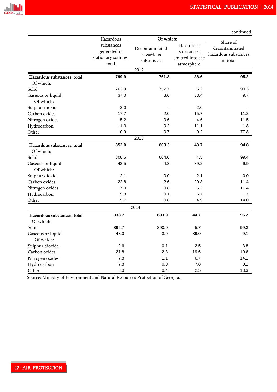|                                          |                                                            |                                           |                                                           | continued                                                      |  |  |  |  |
|------------------------------------------|------------------------------------------------------------|-------------------------------------------|-----------------------------------------------------------|----------------------------------------------------------------|--|--|--|--|
|                                          | Hazardous                                                  |                                           | Of which:                                                 |                                                                |  |  |  |  |
|                                          | substances<br>generated in<br>stationary sources,<br>total | Decontaminated<br>hazardous<br>substances | Hazardous<br>substances<br>emitted into the<br>atmosphere | Share of<br>decontaminated<br>hazardous substances<br>in total |  |  |  |  |
|                                          |                                                            | 2012                                      |                                                           |                                                                |  |  |  |  |
| Hazardous substances, total              | 799.9                                                      | 761.3                                     | 38.6                                                      | 95.2                                                           |  |  |  |  |
| Of which:                                |                                                            |                                           |                                                           |                                                                |  |  |  |  |
| Solid                                    | 762.9                                                      | 757.7                                     | 5.2                                                       | 99.3                                                           |  |  |  |  |
| Gaseous or liquid                        | 37.0                                                       | 3.6                                       | 33.4                                                      | 9.7                                                            |  |  |  |  |
| Of which:                                |                                                            |                                           |                                                           |                                                                |  |  |  |  |
| Sulphur dioxide                          | 2.0                                                        |                                           | 2.0                                                       |                                                                |  |  |  |  |
| Carbon oxides                            | 17.7                                                       | 2.0                                       | 15.7                                                      | 11.2                                                           |  |  |  |  |
| Nitrogen oxides                          | 5.2                                                        | 0.6                                       | 4.6                                                       | 11.5                                                           |  |  |  |  |
| Hydrocarbon                              | 11.3                                                       | 0.2                                       | 11.1                                                      | 1.8                                                            |  |  |  |  |
| Other                                    | 0.9                                                        | 0.7                                       | 0.2                                                       | 77.8                                                           |  |  |  |  |
|                                          |                                                            | 2013                                      |                                                           |                                                                |  |  |  |  |
| Hazardous substances, total              | 852.0                                                      | 808.3                                     | 43.7                                                      | 94.8                                                           |  |  |  |  |
| Of which:                                |                                                            |                                           |                                                           |                                                                |  |  |  |  |
| Solid                                    | 808.5                                                      | 804.0                                     | 4.5                                                       | 99.4                                                           |  |  |  |  |
| Gaseous or liquid                        | 43.5                                                       | 4.3                                       | 39.2                                                      | 9.9                                                            |  |  |  |  |
| Of which:                                |                                                            |                                           |                                                           |                                                                |  |  |  |  |
| Sulphur dioxide                          | 2.1                                                        | 0.0                                       | 2.1                                                       | 0.0                                                            |  |  |  |  |
| Carbon oxides                            | 22.8                                                       | 2.6                                       | 20.3                                                      | 11.4                                                           |  |  |  |  |
| Nitrogen oxides                          | 7.0                                                        | 0.8                                       | 6.2                                                       | 11.4                                                           |  |  |  |  |
| Hydrocarbon                              | 5.8                                                        | 0.1                                       | 5.7                                                       | 1.7                                                            |  |  |  |  |
| Other                                    | 5.7                                                        | 0.8                                       | 4.9                                                       | 14.0                                                           |  |  |  |  |
|                                          |                                                            | 2014                                      |                                                           |                                                                |  |  |  |  |
| Hazardous substances, total<br>Of which: | 938.7                                                      | 893.9                                     | 44.7                                                      | 95.2                                                           |  |  |  |  |
| Solid                                    | 895.7                                                      | 890.0                                     | 5.7                                                       | 99.3                                                           |  |  |  |  |
| Gaseous or liquid                        | 43.0                                                       | 3.9                                       | 39.0                                                      | 9.1                                                            |  |  |  |  |
| Of which:                                |                                                            |                                           |                                                           |                                                                |  |  |  |  |
| Sulphur dioxide                          | 2.6                                                        | 0.1                                       | 2.5                                                       | 3.8                                                            |  |  |  |  |
| Carbon oxides                            | 21.8                                                       | 2.3                                       | 19.6                                                      | 10.6                                                           |  |  |  |  |
| Nitrogen oxides                          | 7.8                                                        | 1.1                                       | 6.7                                                       | 14.1                                                           |  |  |  |  |
| Hydrocarbon                              | 7.8                                                        | 0.0                                       | 7.8                                                       | 0.1                                                            |  |  |  |  |
| Other                                    | 3.0                                                        | 0.4                                       | 2.5                                                       | 13.3                                                           |  |  |  |  |

Source: Ministry of Environment and Natural Resources Protection of Georgia.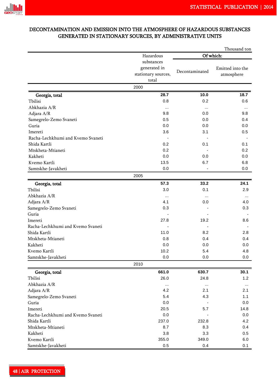

### DECONTAMINATION AND EMISSION INTO THE ATMOSPHERE OF HAZARDOUS SUBSTANCES GENERATED IN STATIONARY SOURCES, BY ADMINISTRATIVE UNITS

|                                   |                     |                | Thousand ton     |  |  |  |
|-----------------------------------|---------------------|----------------|------------------|--|--|--|
|                                   | Hazardous           | Of which:      |                  |  |  |  |
|                                   | substances          |                |                  |  |  |  |
|                                   | generated in        |                | Emitted into the |  |  |  |
|                                   | stationary sources, | Decontaminated | atmosphere       |  |  |  |
|                                   | total               |                |                  |  |  |  |
|                                   | 2000                |                |                  |  |  |  |
| Georgia, total                    | 28.7                | 10.0           | 18.7             |  |  |  |
| Tbilisi                           | 0.8                 | 0.2            | 0.6              |  |  |  |
| Abkhazia A/R                      | $\cdots$            | $\cdots$       | $\cdots$         |  |  |  |
| Adjara A/R                        | 9.8                 | 0.0            | 9.8              |  |  |  |
| Samegrelo-Zemo Svaneti            | 0.5                 | 0.0            | 0.4              |  |  |  |
| Guria                             | 0.0                 | 0.0            | 0.0              |  |  |  |
| Imereti                           | 3.6                 | 3.1            | 0.5              |  |  |  |
| Racha-Lechkhumi and Kvemo Svaneti |                     |                |                  |  |  |  |
| Shida Kartli                      | 0.2                 | 0.1            | 0.1              |  |  |  |
| Mtskheta-Mtianeti                 | 0.2                 |                | 0.2              |  |  |  |
| Kakheti                           | 0.0                 | 0.0            | 0.0              |  |  |  |
| Kvemo Kartli                      | 13.5                | 6.7            | 6.8              |  |  |  |
| Samtskhe-Javakheti                | 0.0                 |                | 0.0              |  |  |  |
|                                   | 2005                |                |                  |  |  |  |
| Georgia, total                    | 57.3                | 33.2           | 24.1             |  |  |  |
| Tbilisi                           | 3.0                 | 0.1            | 2.9              |  |  |  |
| Abkhazia A/R                      | $\cdots$            | $\cdots$       | $\cdots$         |  |  |  |
| Adjara A/R                        | 4.1                 | 0.0            | 4.0              |  |  |  |
| Samegrelo-Zemo Svaneti            | 0.3                 |                | 0.3              |  |  |  |
| Guria                             |                     |                |                  |  |  |  |
| Imereti                           | 27.8                | 19.2           | 8.6              |  |  |  |
| Racha-Lechkhumi and Kvemo Svaneti |                     |                |                  |  |  |  |
| Shida Kartli                      | 11.0                | 8.2            | 2.8              |  |  |  |
| Mtskheta-Mtianeti                 | 0.8                 | 0.4            | 0.4              |  |  |  |
| Kakheti                           | 0.0                 | 0.0            | 0.0              |  |  |  |
| Kvemo Kartli                      | 10.2                | 5.4            | 4.8              |  |  |  |
| Samtskhe-Javakheti                | 0.0                 | 0.0            | 0.0              |  |  |  |
|                                   | 2010                |                |                  |  |  |  |
| Georgia, total                    | 661.0               | 630.7          | 30.1             |  |  |  |
| Tbilisi                           | 26.0                | 24.8           | 1.2              |  |  |  |
| Abkhazia A/R                      | $\cdots$            | $\cdots$       | $\cdots$         |  |  |  |
| Adjara A/R                        | 4.2                 | 2.1            | 2.1              |  |  |  |
| Samegrelo-Zemo Svaneti            | 5.4                 | 4.3            | 1.1              |  |  |  |
| Guria                             | 0.0                 |                | 0.0              |  |  |  |
| Imereti                           | 20.5                | 5.7            | 14.8             |  |  |  |
| Racha-Lechkhumi and Kvemo Svaneti | 0.0                 |                | 0.0              |  |  |  |
| Shida Kartli                      | 237.0               | 232.8          | 4.2              |  |  |  |
| Mtskheta-Mtianeti                 | 8.7                 | 8.3            | 0.4              |  |  |  |
| Kakheti                           | 3.8                 | 3.3            | 0.5              |  |  |  |
| Kvemo Kartli                      | 355.0               | 349.0          | 6.0              |  |  |  |
| Samtskhe-Javakheti                | 0.5                 | 0.4            | 0.1              |  |  |  |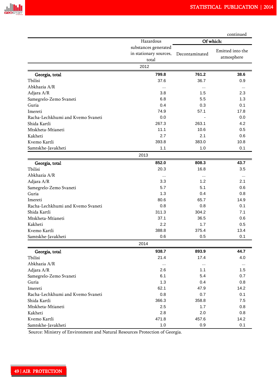|                                   |                        |                | continued        |  |  |
|-----------------------------------|------------------------|----------------|------------------|--|--|
|                                   | Hazardous              | Of which:      |                  |  |  |
|                                   | substances generated   |                | Emitted into the |  |  |
|                                   | in stationary sources, | Decontaminated | atmosphere       |  |  |
|                                   | total                  |                |                  |  |  |
|                                   | 2012                   |                |                  |  |  |
| Georgia, total                    | 799.8                  | 761.2          | 38.6             |  |  |
| Tbilisi                           | 37.6                   | 36.7           | 0.9              |  |  |
| Abkhazia A/R                      | $\cdots$               | $\cdots$       | $\cdots$         |  |  |
| Adjara A/R                        | 3.8                    | 1.5            | 2.3              |  |  |
| Samegrelo-Zemo Svaneti            | 6.8                    | 5.5            | 1.3              |  |  |
| Guria                             | 0.4                    | 0.3            | 0.1              |  |  |
| Imereti                           | 74.9                   | 57.1           | 17.8             |  |  |
| Racha-Lechkhumi and Kvemo Svaneti | 0.0                    |                | 0.0              |  |  |
| Shida Kartli                      | 267.3                  | 263.1          | 4.2              |  |  |
| Mtskheta-Mtianeti                 | 11.1                   | 10.6           | 0.5              |  |  |
| Kakheti                           | 2.7                    | 2.1            | 0.6              |  |  |
| Kvemo Kartli                      | 393.8                  | 383.0          | 10.8             |  |  |
| Samtskhe-Javakheti                | 1.1                    | 1.0            | 0.1              |  |  |
|                                   | 2013                   |                |                  |  |  |
| Georgia, total                    | 852.0                  | 808.3          | 43.7             |  |  |
| Tbilisi                           | 20.3                   | 16.8           | 3.5              |  |  |
| Abkhazia A/R                      | $\cdots$               | $\cdots$       | $\cdots$         |  |  |
| Adjara A/R                        | 3.3                    | 1.2            | 2.1              |  |  |
| Samegrelo-Zemo Svaneti            | 5.7                    | 5.1            | 0.6              |  |  |
| Guria                             | 1.3                    | 0.4            | 0.8              |  |  |
| Imereti                           | 80.6                   | 65.7           | 14.9             |  |  |
| Racha-Lechkhumi and Kvemo Svaneti | 0.8                    | 0.8            | 0.1              |  |  |
| Shida Kartli                      | 311.3                  | 304.2          | 7.1              |  |  |
| Mtskheta-Mtianeti                 | 37.1                   | 36.5           | 0.6              |  |  |
| Kakheti                           | 2.2                    | 1.7            | 0.5              |  |  |
| Kvemo Kartli                      | 388.8                  | 375.4          | 13.4             |  |  |
| Samtskhe-Javakheti                | 0.6                    | 0.5            | 0.1              |  |  |
|                                   | 2014                   |                |                  |  |  |
| Georgia, total                    | 938.7                  | 893.9          | 44.7             |  |  |
| Tbilisi                           | 21.4                   | 17.4           | 4.0              |  |  |
| Abkhazia A/R                      | $\cdots$               |                | $\cdots$         |  |  |
| Adjara A/R                        | 2.6                    | 1.1            | 1.5              |  |  |
| Samegrelo-Zemo Svaneti            | 6.1                    | 5.4            | 0.7              |  |  |
| Guria                             | 1.3                    | 0.4            | 0.8              |  |  |
| Imereti                           | 62.1                   | 47.9           | 14.2             |  |  |
| Racha-Lechkhumi and Kvemo Svaneti | 0.8                    | 0.7            | 0.1              |  |  |
| Shida Kartli                      | 366.3                  | 358.8          | 7.5              |  |  |
| Mtskheta-Mtianeti                 | 2.5                    | 1.7            | 0.8              |  |  |
| Kakheti                           | 2.8                    | 2.0            | 0.8              |  |  |
| Kvemo Kartli                      | 471.8                  | 457.6          | 14.2             |  |  |
| Samtskhe-Javakheti                | 1.0                    | 0.9            | 0.1              |  |  |

Source: Ministry of Environment and Natural Resources Protection of Georgia.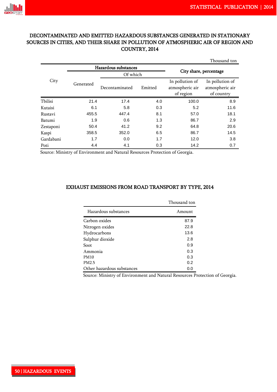### DECONTAMINATED AND EMITTED HAZARDOUS SUBSTANCES GENERATED IN STATIONARY SOURCES IN CITIES, AND THEIR SHARE IN POLLUTION OF ATMOSPHERIC AIR OF REGION AND COUNTRY, 2014

|           |           |                      |         |                                                 | Thousand ton                                     |  |  |  |
|-----------|-----------|----------------------|---------|-------------------------------------------------|--------------------------------------------------|--|--|--|
|           |           | Hazardous substances |         |                                                 |                                                  |  |  |  |
| City      |           | Of which             |         | City share, percentage                          |                                                  |  |  |  |
|           | Generated | Decontaminated       | Emitted | In pollution of<br>atmospheric air<br>of region | In pollution of<br>atmospheric air<br>of country |  |  |  |
| Tbilisi   | 21.4      | 17.4                 | 4.0     | 100.0                                           | 8.9                                              |  |  |  |
| Kutaisi   | 6.1       | 5.8                  | 0.3     | 5.2                                             | 11.6                                             |  |  |  |
| Rustavi   | 455.5     | 447.4                | 8.1     | 57.0                                            | 18.1                                             |  |  |  |
| Batumi    | 1.9       | 0.6                  | 1.3     | 86.7                                            | 2.9                                              |  |  |  |
| Zestaponi | 50.4      | 41.2                 | 9.2     | 64.8                                            | 20.6                                             |  |  |  |
| Kaspi     | 358.5     | 352.0                | 6.5     | 86.7                                            | 14.5                                             |  |  |  |
| Gardabani | 1.7       | 0.0                  | 1.7     | 12.0                                            | 3.8                                              |  |  |  |
| Poti      | 4.4       | 4.1                  | 0.3     | 14.2                                            | 0.7                                              |  |  |  |

Source: Ministry of Environment and Natural Resources Protection of Georgia.

### EXHAUST EMISSIONS FROM ROAD TRANSPORT BY TYPE, 2014

|                            | Thousand ton |
|----------------------------|--------------|
| Hazardous substances       | Amount       |
| Carbon oxides              | 87.9         |
| Nitrogen oxides            | 22.8         |
| Hydrocarbons               | 13.6         |
| Sulphur dioxide            | 2.8          |
| Soot.                      | 0.9          |
| Ammonia                    | 0.3          |
| <b>PM10</b>                | 0.3          |
| PM <sub>2.5</sub>          | 0.2          |
| Other hazardous substances | 0.0          |

Source: Ministry of Environment and Natural Resources Protection of Georgia.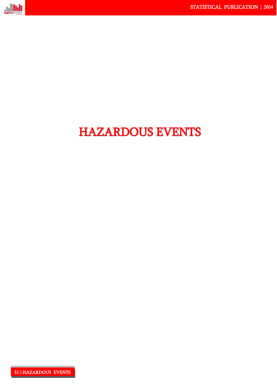

# HAZARDOUS EVENTS

I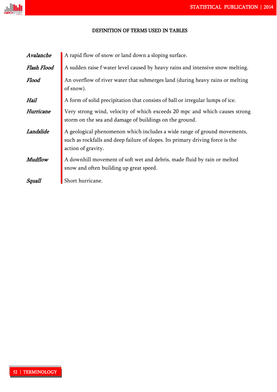

### DEFINITION OF TERMS USED IN TABLES

| Avalanche   | A rapid flow of snow or land down a sloping surface.                                                                                                                             |
|-------------|----------------------------------------------------------------------------------------------------------------------------------------------------------------------------------|
| Flash Flood | A sudden raise f water level caused by heavy rains and intensive snow melting.                                                                                                   |
| Flood       | An overflow of river water that submerges land (during heavy rains or melting<br>of snow).                                                                                       |
| Hail        | A form of solid precipitation that consists of ball or irregular lumps of ice.                                                                                                   |
| Hurricane   | Very strong wind, velocity of which exceeds 20 mpc and which causes strong<br>storm on the sea and damage of buildings on the ground.                                            |
| Landslide   | A geological phenomenon which includes a wide range of ground movements,<br>such as rockfalls and deep failure of slopes. Its primary driving force is the<br>action of gravity. |
| Mudflow     | A downhill movement of soft wet and debris, made fluid by rain or melted<br>snow and often building up great speed.                                                              |
| Squall      | Short hurricane.                                                                                                                                                                 |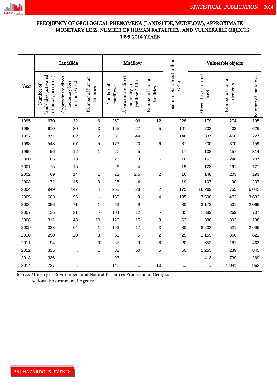

### FREQUENCY OF GEOLOGICAL PHENOMENA (LANDSLIDE, MUDFLOW), APPROXIMATE MONETARY LOSS, NUMBER OF HUMAN FATALITIES, AND VULNERABLE OBJECTS 1995-2014 YEARS

|      |                                                          | Landslide                                            |                               |                       | Mudflow                                              |                               |                                      | Vulnerable objects            |                                |                     |  |  |
|------|----------------------------------------------------------|------------------------------------------------------|-------------------------------|-----------------------|------------------------------------------------------|-------------------------------|--------------------------------------|-------------------------------|--------------------------------|---------------------|--|--|
| Year | landslides (activated<br>or newly occurred)<br>Number of | Approximate direct<br>monetary loss<br>(million GEL) | Number of human<br>fatalities | Number of<br>mudflows | Approximate direct<br>monetary loss<br>(million GEL) | Number of human<br>fatalities | Total monetary loss (million<br>GEL) | Affected agricultural<br>land | Number of human<br>settlements | Number of buildings |  |  |
| 1995 | 670                                                      | 132                                                  | 6                             | 250                   | 96                                                   | 12                            | 228                                  | 179                           | 274                            | 195                 |  |  |
| 1996 | 610                                                      | 80                                                   | 3                             | 165                   | 27                                                   | $\mathbf 5$                   | 107                                  | 232                           | 403                            | 626                 |  |  |
| 1997 | 871                                                      | 102                                                  | $\overline{c}$                | 335                   | 44                                                   | $\overline{7}$                | 146                                  | 337                           | 458                            | 227                 |  |  |
| 1998 | 543                                                      | 67                                                   | 5                             | 173                   | 20                                                   | 6                             | 87                                   | 230                           | 370                            | 159                 |  |  |
| 1999 | 56                                                       | 12                                                   | 1                             | 27                    | 5                                                    |                               | 17                                   | 138                           | 157                            | 314                 |  |  |
| 2000 | 65                                                       | 13                                                   | 1                             | 23                    | 3                                                    |                               | 16                                   | 162                           | 240                            | 207                 |  |  |
| 2001 | 75                                                       | 15                                                   |                               | 26                    | 4                                                    | $\blacksquare$                | 19                                   | 128                           | 191                            | 127                 |  |  |
| 2002 | 69                                                       | 14                                                   | 1                             | 23                    | 2.5                                                  | $\overline{c}$                | 16                                   | 148                           | 203                            | 193                 |  |  |
| 2003 | 71                                                       | 15                                                   | 3                             | 28                    | 4                                                    | $\overline{a}$                | 19                                   | 107                           | 90                             | 207                 |  |  |
| 2004 | 949                                                      | 147                                                  | 4                             | 258                   | 28                                                   | 2                             | 175                                  | 16 289                        | 755                            | 6 0 4 2             |  |  |
| 2005 | 603                                                      | 96                                                   |                               | 155                   | 9                                                    | 4                             | 105                                  | 7590                          | 473                            | 3682                |  |  |
| 2006 | 356                                                      | 71                                                   | 1                             | 63                    | 9                                                    |                               | 80                                   | 3 1 7 3                       | 531                            | 2 0 6 6             |  |  |
| 2007 | 136                                                      | 21                                                   |                               | 104                   | 12                                                   | $\overline{\phantom{a}}$      | 32                                   | 1 3 8 9                       | 269                            | 707                 |  |  |
| 2008 | 311                                                      | 48                                                   | 10                            | 126                   | 15                                                   | 8                             | 63                                   | 1 3 8 8                       | 392                            | 1 1 9 8             |  |  |
| 2009 | 323                                                      | 64                                                   | 1                             | 193                   | 17                                                   | 3                             | 80                                   | 8 2 3 2                       | 521                            | 2696                |  |  |
| 2010 | 250                                                      | 20                                                   | 3                             | 81                    | 5                                                    | $\overline{c}$                | 25                                   | 1 1 5 5                       | 366                            | 822                 |  |  |
| 2011 | 94                                                       |                                                      | 3                             | 37                    | 9                                                    | 8                             | 20                                   | 652                           | 181                            | 463                 |  |  |
| 2012 | 325                                                      | $\cdots$                                             | 1                             | 88                    | 50                                                   | 5                             | 50                                   | 1 2 5 5                       | 239                            | 845                 |  |  |
| 2013 | 336                                                      |                                                      |                               | 93                    |                                                      |                               | $\cdots$                             | 1 4 1 3                       | 739                            | 1 2 6 9             |  |  |
| 2014 | 727                                                      | $\cdots$                                             |                               | 141                   |                                                      | 10                            | $\cdots$                             | $\cdots$                      | 1 0 4 1                        | 962                 |  |  |

Source: Ministry of Environment and Natural Resources Protection of Georgia. National Environmental Agency.